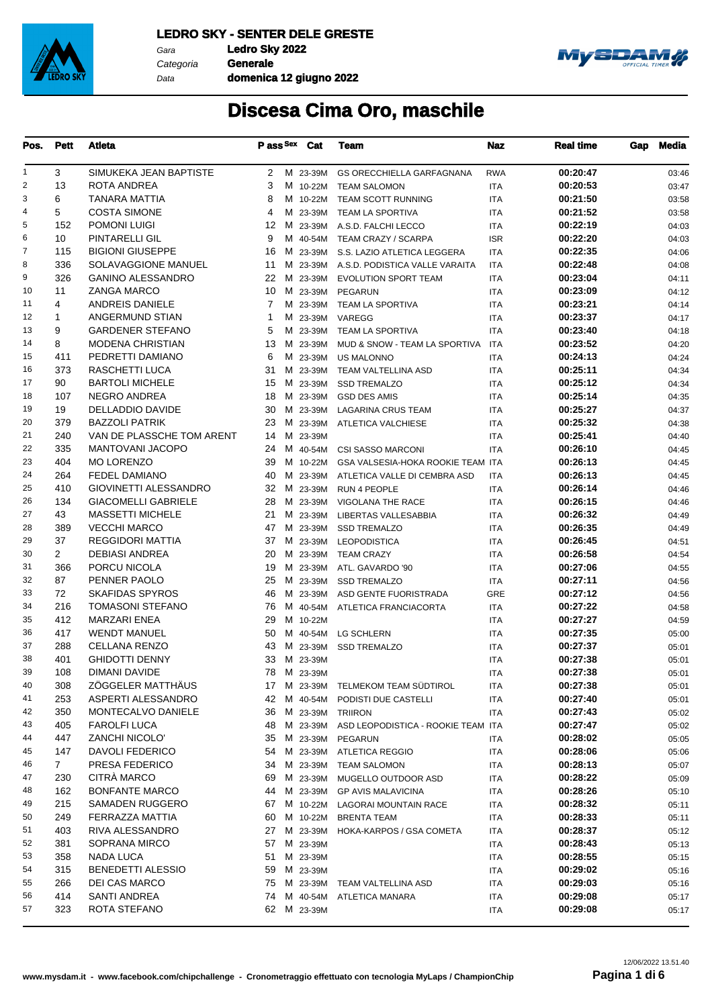

Gara **Ledro Sky 2022** Data

Categoria **Generale domenica 12 giugno 2022**



| Pos.           | Pett           | Atleta                     | P ass Sex      | Cat         | Team                               | Naz        | <b>Real time</b> | Gap | Media |
|----------------|----------------|----------------------------|----------------|-------------|------------------------------------|------------|------------------|-----|-------|
| 1              | 3              | SIMUKEKA JEAN BAPTISTE     | 2              | M 23-39M    | <b>GS ORECCHIELLA GARFAGNANA</b>   | <b>RWA</b> | 00:20:47         |     | 03:46 |
| $\overline{c}$ | 13             | ROTA ANDREA                | 3              | M 10-22M    | <b>TEAM SALOMON</b>                | <b>ITA</b> | 00:20:53         |     | 03:47 |
| 3              | 6              | <b>TANARA MATTIA</b>       | 8              | M 10-22M    | <b>TEAM SCOTT RUNNING</b>          | <b>ITA</b> | 00:21:50         |     | 03:58 |
| 4              | 5              | <b>COSTA SIMONE</b>        | 4              | M 23-39M    | TEAM LA SPORTIVA                   | <b>ITA</b> | 00:21:52         |     | 03:58 |
| 5              | 152            | <b>POMONI LUIGI</b>        | 12             | M 23-39M    | A.S.D. FALCHI LECCO                | <b>ITA</b> | 00:22:19         |     | 04:03 |
| 6              | 10             | PINTARELLI GIL             | 9              | M 40-54M    | TEAM CRAZY / SCARPA                | <b>ISR</b> | 00:22:20         |     | 04:03 |
| $\overline{7}$ | 115            | <b>BIGIONI GIUSEPPE</b>    | 16             | M 23-39M    | S.S. LAZIO ATLETICA LEGGERA        | <b>ITA</b> | 00:22:35         |     | 04:06 |
| 8              | 336            | SOLAVAGGIONE MANUEL        | 11             | M 23-39M    | A.S.D. PODISTICA VALLE VARAITA     | <b>ITA</b> | 00:22:48         |     | 04:08 |
| 9              | 326            | <b>GANINO ALESSANDRO</b>   | 22             | M 23-39M    | <b>EVOLUTION SPORT TEAM</b>        | ITA        | 00:23:04         |     | 04:11 |
| 10             | 11             | <b>ZANGA MARCO</b>         | 10             | M 23-39M    | PEGARUN                            | <b>ITA</b> | 00:23:09         |     | 04:12 |
| 11             | 4              | ANDREIS DANIELE            | $\overline{7}$ | M 23-39M    | TEAM LA SPORTIVA                   | <b>ITA</b> | 00:23:21         |     | 04:14 |
| 12             | 1              | ANGERMUND STIAN            | 1              | M 23-39M    | VAREGG                             | <b>ITA</b> | 00:23:37         |     | 04:17 |
| 13             | 9              | <b>GARDENER STEFANO</b>    | 5              | M 23-39M    | TEAM LA SPORTIVA                   | <b>ITA</b> | 00:23:40         |     | 04:18 |
| 14             | 8              | <b>MODENA CHRISTIAN</b>    | 13             | M 23-39M    | MUD & SNOW - TEAM LA SPORTIVA      | <b>ITA</b> | 00:23:52         |     | 04:20 |
| 15             | 411            | PEDRETTI DAMIANO           | 6              | M 23-39M    | <b>US MALONNO</b>                  | <b>ITA</b> | 00:24:13         |     | 04:24 |
| 16             | 373            | RASCHETTI LUCA             | 31             | M 23-39M    | TEAM VALTELLINA ASD                | <b>ITA</b> | 00:25:11         |     | 04:34 |
| 17             | 90             | <b>BARTOLI MICHELE</b>     | 15             | M 23-39M    | <b>SSD TREMALZO</b>                | <b>ITA</b> | 00:25:12         |     | 04:34 |
| 18             | 107            | <b>NEGRO ANDREA</b>        | 18             | M 23-39M    | <b>GSD DES AMIS</b>                | <b>ITA</b> | 00:25:14         |     | 04:35 |
| 19             | 19             | DELLADDIO DAVIDE           | 30             | M 23-39M    | <b>LAGARINA CRUS TEAM</b>          | <b>ITA</b> | 00:25:27         |     | 04:37 |
| 20             | 379            | <b>BAZZOLI PATRIK</b>      | 23             | M 23-39M    | ATLETICA VALCHIESE                 | <b>ITA</b> | 00:25:32         |     | 04:38 |
| 21             | 240            | VAN DE PLASSCHE TOM ARENT  | 14             | M 23-39M    |                                    | <b>ITA</b> | 00:25:41         |     | 04:40 |
| 22             | 335            | <b>MANTOVANI JACOPO</b>    | 24             | M 40-54M    | <b>CSI SASSO MARCONI</b>           | <b>ITA</b> | 00:26:10         |     | 04:45 |
| 23             | 404            | <b>MO LORENZO</b>          | 39             | M 10-22M    | GSA VALSESIA-HOKA ROOKIE TEAM ITA  |            | 00:26:13         |     | 04:45 |
| 24             | 264            | <b>FEDEL DAMIANO</b>       | 40             | M 23-39M    | ATLETICA VALLE DI CEMBRA ASD       | ITA        | 00:26:13         |     | 04:45 |
| 25             | 410            | GIOVINETTI ALESSANDRO      | 32             | M 23-39M    | RUN 4 PEOPLE                       | ITA        | 00:26:14         |     | 04:46 |
| 26             | 134            | <b>GIACOMELLI GABRIELE</b> | 28             | M 23-39M    | VIGOLANA THE RACE                  | <b>ITA</b> | 00:26:15         |     | 04:46 |
| 27             | 43             | <b>MASSETTI MICHELE</b>    | 21             | M 23-39M    | LIBERTAS VALLESABBIA               | <b>ITA</b> | 00:26:32         |     | 04:49 |
| 28             | 389            | <b>VECCHI MARCO</b>        | 47             | M 23-39M    | <b>SSD TREMALZO</b>                | <b>ITA</b> | 00:26:35         |     | 04:49 |
| 29             | 37             | <b>REGGIDORI MATTIA</b>    | 37             | M 23-39M    | <b>LEOPODISTICA</b>                | <b>ITA</b> | 00:26:45         |     | 04:51 |
| 30             | $\overline{2}$ | <b>DEBIASI ANDREA</b>      | 20             | M 23-39M    | <b>TEAM CRAZY</b>                  | <b>ITA</b> | 00:26:58         |     | 04:54 |
| 31             | 366            | PORCU NICOLA               | 19             | M 23-39M    | ATL. GAVARDO '90                   | <b>ITA</b> | 00:27:06         |     | 04:55 |
| 32             | 87             | PENNER PAOLO               | 25             | M 23-39M    | <b>SSD TREMALZO</b>                | <b>ITA</b> | 00:27:11         |     | 04:56 |
| 33             | 72             | <b>SKAFIDAS SPYROS</b>     | 46             | M 23-39M    |                                    | <b>GRE</b> | 00:27:12         |     |       |
| 34             | 216            | <b>TOMASONI STEFANO</b>    | 76             | M 40-54M    | ASD GENTE FUORISTRADA              |            | 00:27:22         |     | 04:56 |
| 35             | 412            | <b>MARZARI ENEA</b>        |                |             | ATLETICA FRANCIACORTA              | <b>ITA</b> | 00:27:27         |     | 04:58 |
|                |                |                            | 29             | M 10-22M    |                                    | <b>ITA</b> |                  |     | 04:59 |
| 36             | 417            | <b>WENDT MANUEL</b>        | 50             | M 40-54M    | <b>LG SCHLERN</b>                  | <b>ITA</b> | 00:27:35         |     | 05:00 |
| 37             | 288            | CELLANA RENZO              | 43             | M 23-39M    | <b>SSD TREMALZO</b>                | <b>ITA</b> | 00:27:37         |     | 05:01 |
| 38             | 401            | <b>GHIDOTTI DENNY</b>      | 33             | M 23-39M    |                                    | <b>ITA</b> | 00:27:38         |     | 05:01 |
| 39             | 108            | <b>DIMANI DAVIDE</b>       |                | 78 M 23-39M |                                    | <b>ITA</b> | 00:27:38         |     | 05:01 |
| 40             | 308            | ZÖGGELER MATTHÄUS          |                |             | 17 M 23-39M TELMEKOM TEAM SÜDTIROL | ITA        | 00:27:38         |     | 05:01 |
| 41             | 253            | ASPERTI ALESSANDRO         | 42             | M 40-54M    | PODISTI DUE CASTELLI               | <b>ITA</b> | 00:27:40         |     | 05:01 |
| 42             | 350            | MONTECALVO DANIELE         |                | 36 M 23-39M | <b>TRIIRON</b>                     | <b>ITA</b> | 00:27:43         |     | 05:02 |
| 43             | 405            | FAROLFI LUCA               | 48             | M 23-39M    | ASD LEOPODISTICA - ROOKIE TEAM ITA |            | 00:27:47         |     | 05:02 |
| 44             | 447            | ZANCHI NICOLO'             | 35             | M 23-39M    | PEGARUN                            | ITA        | 00:28:02         |     | 05:05 |
| 45             | 147            | DAVOLI FEDERICO            |                |             | 54 M 23-39M ATLETICA REGGIO        | ITA        | 00:28:06         |     | 05:06 |
| 46             | $7^{\circ}$    | PRESA FEDERICO             |                |             | 34 M 23-39M TEAM SALOMON           | ITA        | 00:28:13         |     | 05:07 |
| 47             | 230            | <b>CITRA MARCO</b>         | 69             | M 23-39M    | MUGELLO OUTDOOR ASD                | <b>ITA</b> | 00:28:22         |     | 05:09 |
| 48             | 162            | <b>BONFANTE MARCO</b>      | 44             | M 23-39M    | <b>GP AVIS MALAVICINA</b>          | ITA        | 00:28:26         |     | 05:10 |
| 49             | 215            | SAMADEN RUGGERO            |                | 67 M 10-22M | LAGORAI MOUNTAIN RACE              | ITA        | 00:28:32         |     | 05:11 |
| 50             | 249            | FERRAZZA MATTIA            | 60             | M 10-22M    | <b>BRENTA TEAM</b>                 | ITA        | 00:28:33         |     | 05:11 |
| 51             | 403            | RIVA ALESSANDRO            | 27             | M 23-39M    | HOKA-KARPOS / GSA COMETA           | ITA        | 00:28:37         |     | 05:12 |
| 52             | 381            | SOPRANA MIRCO              | 57             | M 23-39M    |                                    | ITA        | 00:28:43         |     | 05:13 |
| 53             | 358            | <b>NADA LUCA</b>           | 51             | M 23-39M    |                                    | ITA        | 00:28:55         |     | 05:15 |
| 54             | 315            | <b>BENEDETTI ALESSIO</b>   | 59             | M 23-39M    |                                    | ITA        | 00:29:02         |     | 05:16 |
| 55             | 266            | <b>DEI CAS MARCO</b>       |                | 75 M 23-39M | TEAM VALTELLINA ASD                | <b>ITA</b> | 00:29:03         |     | 05:16 |
| 56             | 414            | <b>SANTI ANDREA</b>        | 74.            | M 40-54M    | ATLETICA MANARA                    | <b>ITA</b> | 00:29:08         |     | 05:17 |
| 57             | 323            | ROTA STEFANO               |                | 62 M 23-39M |                                    | ITA        | 00:29:08         |     | 05:17 |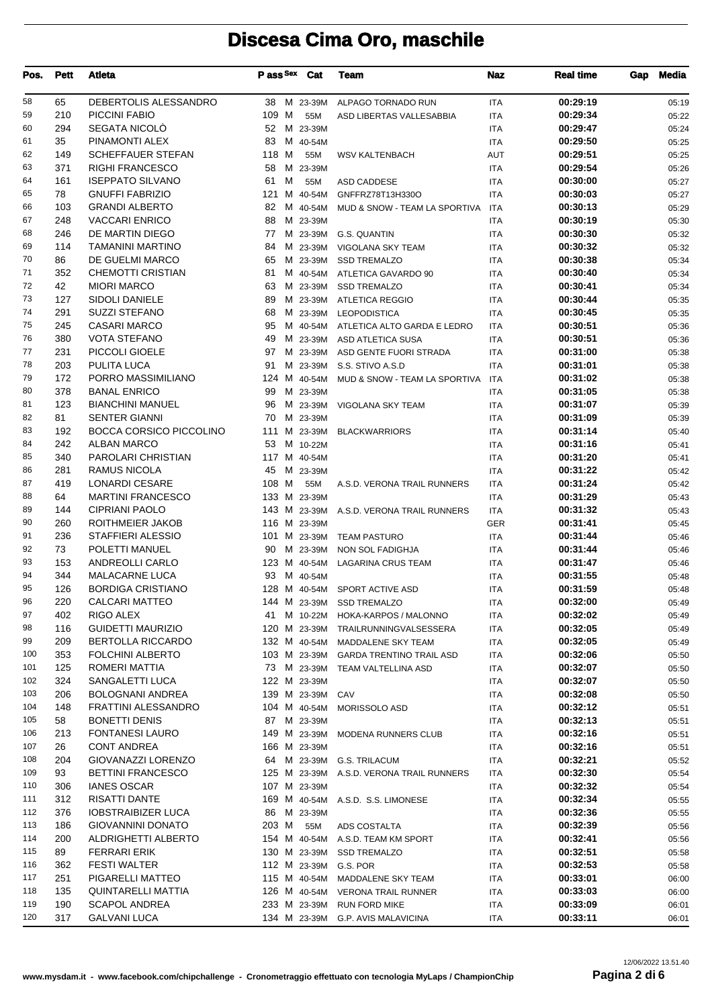| Pos.     | <b>Pett</b> | Atleta                                               |       |   | Pass Sex Cat             | Team                                     | Naz                      | <b>Real time</b>     | Gap | <b>Media</b>   |
|----------|-------------|------------------------------------------------------|-------|---|--------------------------|------------------------------------------|--------------------------|----------------------|-----|----------------|
| 58       | 65          | DEBERTOLIS ALESSANDRO                                | 38    |   | M 23-39M                 | ALPAGO TORNADO RUN                       | <b>ITA</b>               | 00:29:19             |     | 05:19          |
| 59       | 210         | PICCINI FABIO                                        | 109 M |   | 55M                      | ASD LIBERTAS VALLESABBIA                 | ITA                      | 00:29:34             |     | 05:22          |
| 60       | 294         | SEGATA NICOLO                                        | 52    |   | M 23-39M                 |                                          | <b>ITA</b>               | 00:29:47             |     | 05:24          |
| 61       | 35          | PINAMONTI ALEX                                       | 83    |   | M 40-54M                 |                                          | ITA                      | 00:29:50             |     | 05:25          |
| 62       | 149         | <b>SCHEFFAUER STEFAN</b>                             | 118 M |   | 55M                      | <b>WSV KALTENBACH</b>                    | AUT                      | 00:29:51             |     | 05:25          |
| 63       | 371         | <b>RIGHI FRANCESCO</b>                               | 58    |   | M 23-39M                 |                                          | <b>ITA</b>               | 00:29:54             |     | 05:26          |
| 64       | 161         | <b>ISEPPATO SILVANO</b>                              | 61    | м | 55M                      | ASD CADDESE                              | <b>ITA</b>               | 00:30:00             |     | 05:27          |
| 65       | 78          | <b>GNUFFI FABRIZIO</b>                               | 121   |   | M 40-54M                 | GNFFRZ78T13H330O                         | <b>ITA</b>               | 00:30:03             |     | 05:27          |
| 66       | 103         | <b>GRANDI ALBERTO</b>                                | 82    |   | M 40-54M                 | MUD & SNOW - TEAM LA SPORTIVA            | <b>ITA</b>               | 00:30:13             |     | 05:29          |
| 67       | 248         | <b>VACCARI ENRICO</b>                                | 88    |   | M 23-39M                 |                                          | <b>ITA</b>               | 00:30:19             |     | 05:30          |
| 68       | 246         | DE MARTIN DIEGO                                      | 77    |   |                          | M 23-39M G.S. QUANTIN                    | <b>ITA</b>               | 00:30:30             |     | 05:32          |
| 69       | 114         | TAMANINI MARTINO                                     | 84    |   | M 23-39M                 | VIGOLANA SKY TEAM                        | <b>ITA</b>               | 00:30:32             |     | 05:32          |
| 70       | 86          | DE GUELMI MARCO                                      | 65    |   | M 23-39M                 | <b>SSD TREMALZO</b>                      | <b>ITA</b>               | 00:30:38             |     | 05:34          |
| 71       | 352         | CHEMOTTI CRISTIAN                                    | 81    |   | M 40-54M                 | ATLETICA GAVARDO 90                      | <b>ITA</b>               | 00:30:40             |     | 05:34          |
| 72       | 42          | <b>MIORI MARCO</b>                                   | 63    |   | M 23-39M                 | <b>SSD TREMALZO</b>                      | <b>ITA</b>               | 00:30:41             |     | 05:34          |
| 73       | 127         | <b>SIDOLI DANIELE</b>                                | 89    |   |                          | M 23-39M ATLETICA REGGIO                 | <b>ITA</b>               | 00:30:44             |     | 05:35          |
| 74       | 291         | <b>SUZZI STEFANO</b>                                 | 68    |   | M 23-39M                 | <b>LEOPODISTICA</b>                      | <b>ITA</b>               | 00:30:45             |     | 05:35          |
| 75       | 245         | <b>CASARI MARCO</b>                                  | 95    |   | M 40-54M                 | ATLETICA ALTO GARDA E LEDRO              | <b>ITA</b>               | 00:30:51             |     | 05:36          |
| 76       | 380         | <b>VOTA STEFANO</b>                                  | 49    |   | M 23-39M                 | ASD ATLETICA SUSA                        | <b>ITA</b>               | 00:30:51             |     | 05:36          |
| 77       | 231         | PICCOLI GIOELE                                       | 97    |   | M 23-39M                 | ASD GENTE FUORI STRADA                   | <b>ITA</b>               | 00:31:00             |     | 05:38          |
| 78       | 203         | PULITA LUCA                                          | 91    |   | M 23-39M                 | S.S. STIVO A.S.D                         | <b>ITA</b>               | 00:31:01             |     | 05:38          |
| 79       | 172         | PORRO MASSIMILIANO                                   |       |   | 124 M 40-54M             | MUD & SNOW - TEAM LA SPORTIVA            | <b>ITA</b>               | 00:31:02             |     | 05:38          |
| 80       | 378         | <b>BANAL ENRICO</b>                                  | 99    |   | M 23-39M                 |                                          | <b>ITA</b>               | 00:31:05             |     | 05:38          |
| 81       | 123         | <b>BIANCHINI MANUEL</b>                              | 96    |   |                          | M 23-39M VIGOLANA SKY TEAM               | <b>ITA</b>               | 00:31:07             |     | 05:39          |
| 82<br>83 | 81          | <b>SENTER GIANNI</b>                                 | 70    |   | M 23-39M                 |                                          | <b>ITA</b>               | 00:31:09             |     | 05:39          |
| 84       | 192<br>242  | <b>BOCCA CORSICO PICCOLINO</b><br><b>ALBAN MARCO</b> | 53    |   | 111 M 23-39M<br>M 10-22M | <b>BLACKWARRIORS</b>                     | <b>ITA</b>               | 00:31:14<br>00:31:16 |     | 05:40          |
| 85       | 340         | PAROLARI CHRISTIAN                                   |       |   | 117 M 40-54M             |                                          | <b>ITA</b>               | 00:31:20             |     | 05:41          |
| 86       | 281         | RAMUS NICOLA                                         | 45    |   | M 23-39M                 |                                          | <b>ITA</b><br><b>ITA</b> | 00:31:22             |     | 05:41<br>05:42 |
| 87       | 419         | <b>LONARDI CESARE</b>                                | 108 M |   | 55M                      | A.S.D. VERONA TRAIL RUNNERS              | <b>ITA</b>               | 00:31:24             |     | 05:42          |
| 88       | 64          | <b>MARTINI FRANCESCO</b>                             |       |   | 133 M 23-39M             |                                          | <b>ITA</b>               | 00:31:29             |     | 05:43          |
| 89       | 144         | <b>CIPRIANI PAOLO</b>                                |       |   |                          | 143 M 23-39M A.S.D. VERONA TRAIL RUNNERS | <b>ITA</b>               | 00:31:32             |     | 05:43          |
| 90       | 260         | ROITHMEIER JAKOB                                     |       |   | 116 M 23-39M             |                                          | <b>GER</b>               | 00:31:41             |     | 05:45          |
| 91       | 236         | <b>STAFFIERI ALESSIO</b>                             |       |   |                          | 101 M 23-39M TEAM PASTURO                | <b>ITA</b>               | 00:31:44             |     | 05:46          |
| 92       | 73          | POLETTI MANUEL                                       | 90    |   | M 23-39M                 | NON SOL FADIGHJA                         | <b>ITA</b>               | 00:31:44             |     | 05:46          |
| 93       | 153         | ANDREOLLI CARLO                                      |       |   | 123 M 40-54M             | <b>LAGARINA CRUS TEAM</b>                | <b>ITA</b>               | 00:31:47             |     | 05:46          |
| 94       | 344         | <b>MALACARNE LUCA</b>                                | 93    |   | M 40-54M                 |                                          | <b>ITA</b>               | 00:31:55             |     | 05:48          |
| 95       | 126         | <b>BORDIGA CRISTIANO</b>                             |       |   |                          | 128 M 40-54M SPORT ACTIVE ASD            | <b>ITA</b>               | 00:31:59             |     | 05:48          |
| 96       | 220         | CALCARI MATTEO                                       |       |   |                          | 144 M 23-39M SSD TREMALZO                | <b>ITA</b>               | 00:32:00             |     | 05:49          |
| 97       | 402         | RIGO ALEX                                            | 41    |   |                          | M 10-22M HOKA-KARPOS / MALONNO           | ITA                      | 00:32:02             |     | 05:49          |
| 98       | 116         | <b>GUIDETTI MAURIZIO</b>                             |       |   |                          | 120 M 23-39M TRAILRUNNINGVALSESSERA      | ITA                      | 00:32:05             |     | 05:49          |
| 99       | 209         | <b>BERTOLLA RICCARDO</b>                             |       |   |                          | 132 M 40-54M MADDALENE SKY TEAM          | ITA                      | 00:32:05             |     | 05:49          |
| 100      | 353         | FOLCHINI ALBERTO                                     |       |   |                          | 103 M 23-39M GARDA TRENTINO TRAIL ASD    | ITA                      | 00:32:06             |     | 05:50          |
| 101      | 125         | ROMERI MATTIA                                        |       |   |                          | 73 M 23-39M TEAM VALTELLINA ASD          | <b>ITA</b>               | 00:32:07             |     | 05:50          |
| 102      | 324         | SANGALETTI LUCA                                      |       |   | 122 M 23-39M             |                                          | ITA                      | 00:32:07             |     | 05:50          |
| 103      | 206         | BOLOGNANI ANDREA                                     |       |   | 139 M 23-39M CAV         |                                          | ITA                      | 00:32:08             |     | 05:50          |
| 104      | 148         | FRATTINI ALESSANDRO                                  |       |   | 104 M 40-54M             | MORISSOLO ASD                            | <b>ITA</b>               | 00:32:12             |     | 05:51          |
| 105      | 58          | <b>BONETTI DENIS</b>                                 |       |   | 87 M 23-39M              |                                          | ITA                      | 00:32:13             |     | 05:51          |
| 106      | 213         | <b>FONTANESI LAURO</b>                               |       |   |                          | 149 M 23-39M MODENA RUNNERS CLUB         | ITA                      | 00:32:16             |     | 05:51          |
| 107      | 26          | <b>CONT ANDREA</b>                                   |       |   | 166 M 23-39M             |                                          | <b>ITA</b>               | 00:32:16             |     | 05:51          |
| 108      | 204         | GIOVANAZZI LORENZO                                   | 64    |   |                          | M 23-39M G.S. TRILACUM                   | ITA                      | 00:32:21             |     | 05:52          |
| 109      | 93          | <b>BETTINI FRANCESCO</b>                             |       |   |                          | 125 M 23-39M A.S.D. VERONA TRAIL RUNNERS | ITA                      | 00:32:30             |     | 05:54          |
| 110      | 306         | IANES OSCAR                                          |       |   | 107 M 23-39M             |                                          | ITA                      | 00:32:32             |     | 05:54          |
| 111      | 312         | RISATTI DANTE                                        |       |   |                          | 169 M 40-54M A.S.D. S.S. LIMONESE        | ITA                      | 00:32:34             |     | 05:55          |
| 112      | 376         | IOBSTRAIBIZER LUCA                                   | 86    |   | M 23-39M                 |                                          | ITA                      | 00:32:36             |     | 05:55          |
| 113      | 186         | GIOVANNINI DONATO                                    | 203 M |   | 55M                      | ADS COSTALTA                             | <b>ITA</b>               | 00:32:39             |     | 05:56          |
| 114      | 200         | ALDRIGHETTI ALBERTO                                  |       |   |                          | 154 M 40-54M A.S.D. TEAM KM SPORT        | ITA                      | 00:32:41             |     | 05:56          |
| 115      | 89          | FERRARI ERIK                                         |       |   |                          | 130 M 23-39M SSD TREMALZO                | ITA                      | 00:32:51             |     | 05:58          |
| 116      | 362         | FESTI WALTER                                         |       |   |                          | 112 M 23-39M G.S. POR                    | <b>ITA</b>               | 00:32:53             |     | 05:58          |
| 117      | 251         | PIGARELLI MATTEO                                     |       |   | 115 M 40-54M             | MADDALENE SKY TEAM                       | ITA                      | 00:33:01             |     | 06:00          |
| 118      | 135         | QUINTARELLI MATTIA                                   |       |   |                          | 126 M 40-54M VERONA TRAIL RUNNER         | ITA                      | 00:33:03             |     | 06:00          |
| 119      | 190         | <b>SCAPOL ANDREA</b>                                 |       |   |                          | 233 M 23-39M RUN FORD MIKE               | <b>ITA</b>               | 00:33:09             |     | 06:01          |
| 120      | 317         | GALVANI LUCA                                         |       |   |                          | 134 M 23-39M G.P. AVIS MALAVICINA        | ITA                      | 00:33:11             |     | 06:01          |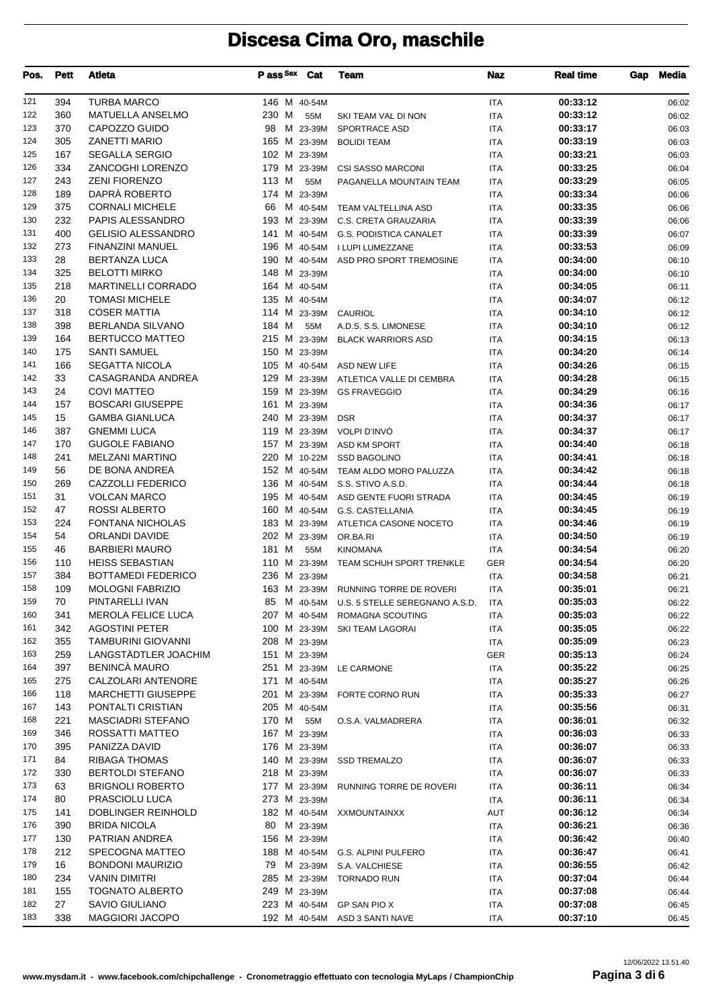| 121<br>394<br><b>TURBA MARCO</b><br>00:33:12<br>146 M 40-54M<br><b>ITA</b><br>06:02<br>122<br>360<br><b>MATUELLA ANSELMO</b><br>230 M<br>00:33:12<br>55M<br>06:02<br>SKI TEAM VAL DI NON<br>ITA<br>CAPOZZO GUIDO<br>370<br>00:33:17<br>123<br>98<br>M 23-39M<br>SPORTRACE ASD<br><b>ITA</b><br>06:03<br>305<br><b>ZANETTI MARIO</b><br>00:33:19<br>124<br>165 M 23-39M<br><b>BOLIDI TEAM</b><br><b>ITA</b><br>06:03<br>125<br>167<br><b>SEGALLA SERGIO</b><br>102 M 23-39M<br>00:33:21<br><b>ITA</b><br>06:03<br>334<br>ZANCOGHI LORENZO<br>00:33:25<br>126<br>179 M 23-39M<br><b>CSI SASSO MARCONI</b><br><b>ITA</b><br>06:04<br>243<br><b>ZENI FIORENZO</b><br>00:33:29<br>127<br>113 M<br>55M<br>PAGANELLA MOUNTAIN TEAM<br><b>ITA</b><br>06:05<br>DAPRÀ ROBERTO<br>128<br>189<br>00:33:34<br>174 M 23-39M<br>06:06<br>ITA<br>129<br>375<br><b>CORNALI MICHELE</b><br>00:33:35<br>66<br>M 40-54M<br>TEAM VALTELLINA ASD<br><b>ITA</b><br>06:06<br>232<br><b>PAPIS ALESSANDRO</b><br>00:33:39<br>130<br>193 M 23-39M C.S. CRETA GRAUZARIA<br><b>ITA</b><br>06:06<br>400<br><b>GELISIO ALESSANDRO</b><br>00:33:39<br>131<br>141 M 40-54M G.S. PODISTICA CANALET<br>06:07<br>ITA<br>00:33:53<br>132<br>273<br>FINANZINI MANUEL<br>196 M 40-54M<br>I LUPI LUMEZZANE<br><b>ITA</b><br>06:09<br>28<br><b>BERTANZA LUCA</b><br>133<br>190 M 40-54M ASD PRO SPORT TREMOSINE<br>00:34:00<br><b>ITA</b><br>06:10<br>134<br>325<br><b>BELOTTI MIRKO</b><br>148 M 23-39M<br><b>ITA</b><br>00:34:00<br>06:10<br>218<br><b>MARTINELLI CORRADO</b><br>135<br>164 M 40-54M<br>00:34:05<br><b>ITA</b><br>06:11<br>136<br><b>TOMASI MICHELE</b><br>20<br>135 M 40-54M<br>00:34:07<br>ITA<br>06:12<br><b>COSER MATTIA</b><br>137<br>00:34:10<br>318<br>114 M 23-39M CAURIOL<br><b>ITA</b><br>06:12<br>398<br><b>BERLANDA SILVANO</b><br>184 M<br>138<br>55M<br>00:34:10<br>A.D.S. S.S. LIMONESE<br><b>ITA</b><br>06:12<br><b>BERTUCCO MATTEO</b><br>139<br>164<br>00:34:15<br>215 M 23-39M<br><b>BLACK WARRIORS ASD</b><br><b>ITA</b><br>06:13<br>175<br><b>SANTI SAMUEL</b><br>140<br>150 M 23-39M<br><b>ITA</b><br>00:34:20<br>06:14<br><b>SEGATTA NICOLA</b><br>141<br>166<br>105 M 40-54M ASD NEW LIFE<br>00:34:26<br><b>ITA</b><br>06:15<br>33<br>142<br>CASAGRANDA ANDREA<br>129 M 23-39M ATLETICA VALLE DI CEMBRA<br>00:34:28<br><b>ITA</b><br>06:15<br>143<br>24<br><b>COVI MATTEO</b><br>00:34:29<br>159 M 23-39M GS FRAVEGGIO<br><b>ITA</b><br>06:16<br><b>BOSCARI GIUSEPPE</b><br>144<br>157<br>161 M 23-39M<br>00:34:36<br><b>ITA</b><br>06:17<br>15<br><b>GAMBA GIANLUCA</b><br>240 M 23-39M<br>00:34:37<br>145<br><b>DSR</b><br><b>ITA</b><br>06:17<br>387<br><b>GNEMMI LUCA</b><br>146<br>119 M 23-39M<br>00:34:37<br>VOLPI D'INVÒ<br><b>ITA</b><br>06:17<br>170<br><b>GUGOLE FABIANO</b><br>147<br>157 M 23-39M<br>00:34:40<br>ASD KM SPORT<br><b>ITA</b><br>06:18<br>241<br><b>MELZANI MARTINO</b><br>220 M 10-22M SSD BAGOLINO<br>00:34:41<br>148<br><b>ITA</b><br>06:18<br>56<br>DE BONA ANDREA<br>00:34:42<br>149<br>152 M 40-54M TEAM ALDO MORO PALUZZA<br><b>ITA</b><br>06:18<br>00:34:44<br>150<br>269<br>CAZZOLLI FEDERICO<br>136 M 40-54M<br>S.S. STIVO A.S.D.<br><b>ITA</b><br>06:18<br>31<br><b>VOLCAN MARCO</b><br>00:34:45<br>151<br>195 M 40-54M ASD GENTE FUORI STRADA<br><b>ITA</b><br>06:19<br>152<br>47<br><b>ROSSI ALBERTO</b><br>160 M 40-54M G.S. CASTELLANIA<br>00:34:45<br><b>ITA</b><br>06:19<br><b>FONTANA NICHOLAS</b><br>153<br>224<br>183 M 23-39M<br>00:34:46<br>ATLETICA CASONE NOCETO<br><b>ITA</b><br>06:19<br>54<br>ORLANDI DAVIDE<br>202 M 23-39M OR.BA.RI<br>00:34:50<br>154<br><b>ITA</b><br>06:19<br><b>BARBIERI MAURO</b><br>181 M<br>00:34:54<br>155<br>46<br>55M<br><b>ITA</b><br>06:20<br><b>KINOMANA</b><br><b>HEISS SEBASTIAN</b><br>00:34:54<br>156<br>110<br>110 M 23-39M TEAM SCHUH SPORT TRENKLE<br><b>GER</b><br>06:20<br>384<br><b>BOTTAMEDI FEDERICO</b><br>00:34:58<br>157<br>236 M 23-39M<br><b>ITA</b><br>06:21<br>109<br><b>MOLOGNI FABRIZIO</b><br>00:35:01<br>163 M 23-39M RUNNING TORRE DE ROVERI<br>06:21<br>ITA<br>159<br>70<br>PINTARELLI IVAN<br>00:35:03<br>85 M 40-54M U.S. 5 STELLE SEREGNANO A.S.D.<br>06:22<br><b>ITA</b><br>MEROLA FELICE LUCA<br>00:35:03<br>160<br>341<br>207 M 40-54M ROMAGNA SCOUTING<br>ITA<br>06:22<br>342<br><b>AGOSTINI PETER</b><br>161<br>100 M 23-39M SKI TEAM LAGORAI<br>00:35:05<br><b>ITA</b><br>06:22<br>162<br>355<br>TAMBURINI GIOVANNI<br>208 M 23-39M<br>00:35:09<br>06:23<br>ITA<br>LANGSTÄDTLER JOACHIM<br>259<br>163<br>151 M 23-39M<br>GER<br>00:35:13<br>06:24<br><b>BENINCÀ MAURO</b><br>397<br>164<br>00:35:22<br>251 M 23-39M LE CARMONE<br><b>ITA</b><br>06:25<br>CALZOLARI ANTENORE<br>165<br>275<br>171 M 40-54M<br>00:35:27<br><b>ITA</b><br>06:26<br>118<br><b>MARCHETTI GIUSEPPE</b><br>00:35:33<br>166<br>201 M 23-39M FORTE CORNO RUN<br>ITA<br>06:27<br>167<br>143<br>PONTALTI CRISTIAN<br>205 M 40-54M<br>00:35:56<br>ITA<br>06:31<br>168<br>221<br><b>MASCIADRI STEFANO</b><br>170 M<br>55M<br>00:36:01<br>O.S.A. VALMADRERA<br><b>ITA</b><br>06:32<br>346<br>169<br>ROSSATTI MATTEO<br>167 M 23-39M<br>ITA<br>00:36:03<br>06:33<br>395<br>170<br>PANIZZA DAVID<br>176 M 23-39M<br>00:36:07<br>ITA<br>06:33<br>171<br>84<br><b>RIBAGA THOMAS</b><br>140 M 23-39M SSD TREMALZO<br>00:36:07<br><b>ITA</b><br>06:33<br>172<br>330<br><b>BERTOLDI STEFANO</b><br>218 M 23-39M<br>ITA<br>00:36:07<br>06:33<br>173<br>63<br><b>BRIGNOLI ROBERTO</b><br>177 M 23-39M RUNNING TORRE DE ROVERI<br>00:36:11<br>ITA<br>06:34<br>174<br>80<br>PRASCIOLU LUCA<br>273 M 23-39M<br><b>ITA</b><br>00:36:11<br>06:34<br>DOBLINGER REINHOLD<br>175<br>141<br>182 M 40-54M XXMOUNTAINXX<br>AUT<br>00:36:12<br>06:34<br>390<br>176<br><b>BRIDA NICOLA</b><br>00:36:21<br>80<br>M 23-39M<br>ITA<br>06:36<br>177<br>130<br>PATRIAN ANDREA<br>156 M 23-39M<br><b>ITA</b><br>00:36:42<br>06:40<br>212<br>SPECOGNA MATTEO<br>178<br>188 M 40-54M G.S. ALPINI PULFERO<br><b>ITA</b><br>00:36:47<br>06:41<br>179<br>16<br><b>BONDONI MAURIZIO</b><br>00:36:55<br>79<br>M 23-39M S.A. VALCHIESE<br><b>ITA</b><br>06:42<br>180<br>234<br><b>VANIN DIMITRI</b><br>285 M 23-39M TORNADO RUN<br><b>ITA</b><br>00:37:04<br>06:44<br>155<br><b>TOGNATO ALBERTO</b><br>181<br>249 M 23-39M<br>00:37:08<br>ITA<br>06:44<br>27<br>182<br>SAVIO GIULIANO<br>223 M 40-54M GP SAN PIO X<br>00:37:08<br>ITA<br>06:45<br>338<br><b>MAGGIORI JACOPO</b><br>183<br>192 M 40-54M ASD 3 SANTI NAVE<br>00:37:10<br>ITA<br>06:45 | Pos. | <b>Pett</b> | Atleta | P ass <sup>Sex</sup> | Cat | Team | Naz | <b>Real time</b> | Gap | <b>Media</b> |
|-----------------------------------------------------------------------------------------------------------------------------------------------------------------------------------------------------------------------------------------------------------------------------------------------------------------------------------------------------------------------------------------------------------------------------------------------------------------------------------------------------------------------------------------------------------------------------------------------------------------------------------------------------------------------------------------------------------------------------------------------------------------------------------------------------------------------------------------------------------------------------------------------------------------------------------------------------------------------------------------------------------------------------------------------------------------------------------------------------------------------------------------------------------------------------------------------------------------------------------------------------------------------------------------------------------------------------------------------------------------------------------------------------------------------------------------------------------------------------------------------------------------------------------------------------------------------------------------------------------------------------------------------------------------------------------------------------------------------------------------------------------------------------------------------------------------------------------------------------------------------------------------------------------------------------------------------------------------------------------------------------------------------------------------------------------------------------------------------------------------------------------------------------------------------------------------------------------------------------------------------------------------------------------------------------------------------------------------------------------------------------------------------------------------------------------------------------------------------------------------------------------------------------------------------------------------------------------------------------------------------------------------------------------------------------------------------------------------------------------------------------------------------------------------------------------------------------------------------------------------------------------------------------------------------------------------------------------------------------------------------------------------------------------------------------------------------------------------------------------------------------------------------------------------------------------------------------------------------------------------------------------------------------------------------------------------------------------------------------------------------------------------------------------------------------------------------------------------------------------------------------------------------------------------------------------------------------------------------------------------------------------------------------------------------------------------------------------------------------------------------------------------------------------------------------------------------------------------------------------------------------------------------------------------------------------------------------------------------------------------------------------------------------------------------------------------------------------------------------------------------------------------------------------------------------------------------------------------------------------------------------------------------------------------------------------------------------------------------------------------------------------------------------------------------------------------------------------------------------------------------------------------------------------------------------------------------------------------------------------------------------------------------------------------------------------------------------------------------------------------------------------------------------------------------------------------------------------------------------------------------------------------------------------------------------------------------------------------------------------------------------------------------------------------------------------------------------------------------------------------------------------------------------------------------------------------------------------------------------------------------------------------------------------------------------------------------------------------------------------------------------------------------------------------------------------------------------------------------------------------------------------------------------------------------------------------------------------------------------------------------------------------------------------------------------------------------------------------------------------------------------------------------------------------------------------------------------------------------------------------------------------------------------------------------------------------------------------------------------------------------------------------------------------------------------------------------------------------------------------------------------------------------------------------------------------------------------------------------------------------------------------------------------------------------------------------------------------------------------------------------------------------------------------------------------------------------------------------------------------------------------------|------|-------------|--------|----------------------|-----|------|-----|------------------|-----|--------------|
|                                                                                                                                                                                                                                                                                                                                                                                                                                                                                                                                                                                                                                                                                                                                                                                                                                                                                                                                                                                                                                                                                                                                                                                                                                                                                                                                                                                                                                                                                                                                                                                                                                                                                                                                                                                                                                                                                                                                                                                                                                                                                                                                                                                                                                                                                                                                                                                                                                                                                                                                                                                                                                                                                                                                                                                                                                                                                                                                                                                                                                                                                                                                                                                                                                                                                                                                                                                                                                                                                                                                                                                                                                                                                                                                                                                                                                                                                                                                                                                                                                                                                                                                                                                                                                                                                                                                                                                                                                                                                                                                                                                                                                                                                                                                                                                                                                                                                                                                                                                                                                                                                                                                                                                                                                                                                                                                                                                                                                                                                                                                                                                                                                                                                                                                                                                                                                                                                                                                                                                                                                                                                                                                                                                                                                                                                                                                                                                                                                                                                                           |      |             |        |                      |     |      |     |                  |     |              |
|                                                                                                                                                                                                                                                                                                                                                                                                                                                                                                                                                                                                                                                                                                                                                                                                                                                                                                                                                                                                                                                                                                                                                                                                                                                                                                                                                                                                                                                                                                                                                                                                                                                                                                                                                                                                                                                                                                                                                                                                                                                                                                                                                                                                                                                                                                                                                                                                                                                                                                                                                                                                                                                                                                                                                                                                                                                                                                                                                                                                                                                                                                                                                                                                                                                                                                                                                                                                                                                                                                                                                                                                                                                                                                                                                                                                                                                                                                                                                                                                                                                                                                                                                                                                                                                                                                                                                                                                                                                                                                                                                                                                                                                                                                                                                                                                                                                                                                                                                                                                                                                                                                                                                                                                                                                                                                                                                                                                                                                                                                                                                                                                                                                                                                                                                                                                                                                                                                                                                                                                                                                                                                                                                                                                                                                                                                                                                                                                                                                                                                           |      |             |        |                      |     |      |     |                  |     |              |
|                                                                                                                                                                                                                                                                                                                                                                                                                                                                                                                                                                                                                                                                                                                                                                                                                                                                                                                                                                                                                                                                                                                                                                                                                                                                                                                                                                                                                                                                                                                                                                                                                                                                                                                                                                                                                                                                                                                                                                                                                                                                                                                                                                                                                                                                                                                                                                                                                                                                                                                                                                                                                                                                                                                                                                                                                                                                                                                                                                                                                                                                                                                                                                                                                                                                                                                                                                                                                                                                                                                                                                                                                                                                                                                                                                                                                                                                                                                                                                                                                                                                                                                                                                                                                                                                                                                                                                                                                                                                                                                                                                                                                                                                                                                                                                                                                                                                                                                                                                                                                                                                                                                                                                                                                                                                                                                                                                                                                                                                                                                                                                                                                                                                                                                                                                                                                                                                                                                                                                                                                                                                                                                                                                                                                                                                                                                                                                                                                                                                                                           |      |             |        |                      |     |      |     |                  |     |              |
|                                                                                                                                                                                                                                                                                                                                                                                                                                                                                                                                                                                                                                                                                                                                                                                                                                                                                                                                                                                                                                                                                                                                                                                                                                                                                                                                                                                                                                                                                                                                                                                                                                                                                                                                                                                                                                                                                                                                                                                                                                                                                                                                                                                                                                                                                                                                                                                                                                                                                                                                                                                                                                                                                                                                                                                                                                                                                                                                                                                                                                                                                                                                                                                                                                                                                                                                                                                                                                                                                                                                                                                                                                                                                                                                                                                                                                                                                                                                                                                                                                                                                                                                                                                                                                                                                                                                                                                                                                                                                                                                                                                                                                                                                                                                                                                                                                                                                                                                                                                                                                                                                                                                                                                                                                                                                                                                                                                                                                                                                                                                                                                                                                                                                                                                                                                                                                                                                                                                                                                                                                                                                                                                                                                                                                                                                                                                                                                                                                                                                                           |      |             |        |                      |     |      |     |                  |     |              |
|                                                                                                                                                                                                                                                                                                                                                                                                                                                                                                                                                                                                                                                                                                                                                                                                                                                                                                                                                                                                                                                                                                                                                                                                                                                                                                                                                                                                                                                                                                                                                                                                                                                                                                                                                                                                                                                                                                                                                                                                                                                                                                                                                                                                                                                                                                                                                                                                                                                                                                                                                                                                                                                                                                                                                                                                                                                                                                                                                                                                                                                                                                                                                                                                                                                                                                                                                                                                                                                                                                                                                                                                                                                                                                                                                                                                                                                                                                                                                                                                                                                                                                                                                                                                                                                                                                                                                                                                                                                                                                                                                                                                                                                                                                                                                                                                                                                                                                                                                                                                                                                                                                                                                                                                                                                                                                                                                                                                                                                                                                                                                                                                                                                                                                                                                                                                                                                                                                                                                                                                                                                                                                                                                                                                                                                                                                                                                                                                                                                                                                           |      |             |        |                      |     |      |     |                  |     |              |
|                                                                                                                                                                                                                                                                                                                                                                                                                                                                                                                                                                                                                                                                                                                                                                                                                                                                                                                                                                                                                                                                                                                                                                                                                                                                                                                                                                                                                                                                                                                                                                                                                                                                                                                                                                                                                                                                                                                                                                                                                                                                                                                                                                                                                                                                                                                                                                                                                                                                                                                                                                                                                                                                                                                                                                                                                                                                                                                                                                                                                                                                                                                                                                                                                                                                                                                                                                                                                                                                                                                                                                                                                                                                                                                                                                                                                                                                                                                                                                                                                                                                                                                                                                                                                                                                                                                                                                                                                                                                                                                                                                                                                                                                                                                                                                                                                                                                                                                                                                                                                                                                                                                                                                                                                                                                                                                                                                                                                                                                                                                                                                                                                                                                                                                                                                                                                                                                                                                                                                                                                                                                                                                                                                                                                                                                                                                                                                                                                                                                                                           |      |             |        |                      |     |      |     |                  |     |              |
|                                                                                                                                                                                                                                                                                                                                                                                                                                                                                                                                                                                                                                                                                                                                                                                                                                                                                                                                                                                                                                                                                                                                                                                                                                                                                                                                                                                                                                                                                                                                                                                                                                                                                                                                                                                                                                                                                                                                                                                                                                                                                                                                                                                                                                                                                                                                                                                                                                                                                                                                                                                                                                                                                                                                                                                                                                                                                                                                                                                                                                                                                                                                                                                                                                                                                                                                                                                                                                                                                                                                                                                                                                                                                                                                                                                                                                                                                                                                                                                                                                                                                                                                                                                                                                                                                                                                                                                                                                                                                                                                                                                                                                                                                                                                                                                                                                                                                                                                                                                                                                                                                                                                                                                                                                                                                                                                                                                                                                                                                                                                                                                                                                                                                                                                                                                                                                                                                                                                                                                                                                                                                                                                                                                                                                                                                                                                                                                                                                                                                                           |      |             |        |                      |     |      |     |                  |     |              |
|                                                                                                                                                                                                                                                                                                                                                                                                                                                                                                                                                                                                                                                                                                                                                                                                                                                                                                                                                                                                                                                                                                                                                                                                                                                                                                                                                                                                                                                                                                                                                                                                                                                                                                                                                                                                                                                                                                                                                                                                                                                                                                                                                                                                                                                                                                                                                                                                                                                                                                                                                                                                                                                                                                                                                                                                                                                                                                                                                                                                                                                                                                                                                                                                                                                                                                                                                                                                                                                                                                                                                                                                                                                                                                                                                                                                                                                                                                                                                                                                                                                                                                                                                                                                                                                                                                                                                                                                                                                                                                                                                                                                                                                                                                                                                                                                                                                                                                                                                                                                                                                                                                                                                                                                                                                                                                                                                                                                                                                                                                                                                                                                                                                                                                                                                                                                                                                                                                                                                                                                                                                                                                                                                                                                                                                                                                                                                                                                                                                                                                           |      |             |        |                      |     |      |     |                  |     |              |
|                                                                                                                                                                                                                                                                                                                                                                                                                                                                                                                                                                                                                                                                                                                                                                                                                                                                                                                                                                                                                                                                                                                                                                                                                                                                                                                                                                                                                                                                                                                                                                                                                                                                                                                                                                                                                                                                                                                                                                                                                                                                                                                                                                                                                                                                                                                                                                                                                                                                                                                                                                                                                                                                                                                                                                                                                                                                                                                                                                                                                                                                                                                                                                                                                                                                                                                                                                                                                                                                                                                                                                                                                                                                                                                                                                                                                                                                                                                                                                                                                                                                                                                                                                                                                                                                                                                                                                                                                                                                                                                                                                                                                                                                                                                                                                                                                                                                                                                                                                                                                                                                                                                                                                                                                                                                                                                                                                                                                                                                                                                                                                                                                                                                                                                                                                                                                                                                                                                                                                                                                                                                                                                                                                                                                                                                                                                                                                                                                                                                                                           |      |             |        |                      |     |      |     |                  |     |              |
|                                                                                                                                                                                                                                                                                                                                                                                                                                                                                                                                                                                                                                                                                                                                                                                                                                                                                                                                                                                                                                                                                                                                                                                                                                                                                                                                                                                                                                                                                                                                                                                                                                                                                                                                                                                                                                                                                                                                                                                                                                                                                                                                                                                                                                                                                                                                                                                                                                                                                                                                                                                                                                                                                                                                                                                                                                                                                                                                                                                                                                                                                                                                                                                                                                                                                                                                                                                                                                                                                                                                                                                                                                                                                                                                                                                                                                                                                                                                                                                                                                                                                                                                                                                                                                                                                                                                                                                                                                                                                                                                                                                                                                                                                                                                                                                                                                                                                                                                                                                                                                                                                                                                                                                                                                                                                                                                                                                                                                                                                                                                                                                                                                                                                                                                                                                                                                                                                                                                                                                                                                                                                                                                                                                                                                                                                                                                                                                                                                                                                                           |      |             |        |                      |     |      |     |                  |     |              |
|                                                                                                                                                                                                                                                                                                                                                                                                                                                                                                                                                                                                                                                                                                                                                                                                                                                                                                                                                                                                                                                                                                                                                                                                                                                                                                                                                                                                                                                                                                                                                                                                                                                                                                                                                                                                                                                                                                                                                                                                                                                                                                                                                                                                                                                                                                                                                                                                                                                                                                                                                                                                                                                                                                                                                                                                                                                                                                                                                                                                                                                                                                                                                                                                                                                                                                                                                                                                                                                                                                                                                                                                                                                                                                                                                                                                                                                                                                                                                                                                                                                                                                                                                                                                                                                                                                                                                                                                                                                                                                                                                                                                                                                                                                                                                                                                                                                                                                                                                                                                                                                                                                                                                                                                                                                                                                                                                                                                                                                                                                                                                                                                                                                                                                                                                                                                                                                                                                                                                                                                                                                                                                                                                                                                                                                                                                                                                                                                                                                                                                           |      |             |        |                      |     |      |     |                  |     |              |
|                                                                                                                                                                                                                                                                                                                                                                                                                                                                                                                                                                                                                                                                                                                                                                                                                                                                                                                                                                                                                                                                                                                                                                                                                                                                                                                                                                                                                                                                                                                                                                                                                                                                                                                                                                                                                                                                                                                                                                                                                                                                                                                                                                                                                                                                                                                                                                                                                                                                                                                                                                                                                                                                                                                                                                                                                                                                                                                                                                                                                                                                                                                                                                                                                                                                                                                                                                                                                                                                                                                                                                                                                                                                                                                                                                                                                                                                                                                                                                                                                                                                                                                                                                                                                                                                                                                                                                                                                                                                                                                                                                                                                                                                                                                                                                                                                                                                                                                                                                                                                                                                                                                                                                                                                                                                                                                                                                                                                                                                                                                                                                                                                                                                                                                                                                                                                                                                                                                                                                                                                                                                                                                                                                                                                                                                                                                                                                                                                                                                                                           |      |             |        |                      |     |      |     |                  |     |              |
|                                                                                                                                                                                                                                                                                                                                                                                                                                                                                                                                                                                                                                                                                                                                                                                                                                                                                                                                                                                                                                                                                                                                                                                                                                                                                                                                                                                                                                                                                                                                                                                                                                                                                                                                                                                                                                                                                                                                                                                                                                                                                                                                                                                                                                                                                                                                                                                                                                                                                                                                                                                                                                                                                                                                                                                                                                                                                                                                                                                                                                                                                                                                                                                                                                                                                                                                                                                                                                                                                                                                                                                                                                                                                                                                                                                                                                                                                                                                                                                                                                                                                                                                                                                                                                                                                                                                                                                                                                                                                                                                                                                                                                                                                                                                                                                                                                                                                                                                                                                                                                                                                                                                                                                                                                                                                                                                                                                                                                                                                                                                                                                                                                                                                                                                                                                                                                                                                                                                                                                                                                                                                                                                                                                                                                                                                                                                                                                                                                                                                                           |      |             |        |                      |     |      |     |                  |     |              |
|                                                                                                                                                                                                                                                                                                                                                                                                                                                                                                                                                                                                                                                                                                                                                                                                                                                                                                                                                                                                                                                                                                                                                                                                                                                                                                                                                                                                                                                                                                                                                                                                                                                                                                                                                                                                                                                                                                                                                                                                                                                                                                                                                                                                                                                                                                                                                                                                                                                                                                                                                                                                                                                                                                                                                                                                                                                                                                                                                                                                                                                                                                                                                                                                                                                                                                                                                                                                                                                                                                                                                                                                                                                                                                                                                                                                                                                                                                                                                                                                                                                                                                                                                                                                                                                                                                                                                                                                                                                                                                                                                                                                                                                                                                                                                                                                                                                                                                                                                                                                                                                                                                                                                                                                                                                                                                                                                                                                                                                                                                                                                                                                                                                                                                                                                                                                                                                                                                                                                                                                                                                                                                                                                                                                                                                                                                                                                                                                                                                                                                           |      |             |        |                      |     |      |     |                  |     |              |
|                                                                                                                                                                                                                                                                                                                                                                                                                                                                                                                                                                                                                                                                                                                                                                                                                                                                                                                                                                                                                                                                                                                                                                                                                                                                                                                                                                                                                                                                                                                                                                                                                                                                                                                                                                                                                                                                                                                                                                                                                                                                                                                                                                                                                                                                                                                                                                                                                                                                                                                                                                                                                                                                                                                                                                                                                                                                                                                                                                                                                                                                                                                                                                                                                                                                                                                                                                                                                                                                                                                                                                                                                                                                                                                                                                                                                                                                                                                                                                                                                                                                                                                                                                                                                                                                                                                                                                                                                                                                                                                                                                                                                                                                                                                                                                                                                                                                                                                                                                                                                                                                                                                                                                                                                                                                                                                                                                                                                                                                                                                                                                                                                                                                                                                                                                                                                                                                                                                                                                                                                                                                                                                                                                                                                                                                                                                                                                                                                                                                                                           |      |             |        |                      |     |      |     |                  |     |              |
|                                                                                                                                                                                                                                                                                                                                                                                                                                                                                                                                                                                                                                                                                                                                                                                                                                                                                                                                                                                                                                                                                                                                                                                                                                                                                                                                                                                                                                                                                                                                                                                                                                                                                                                                                                                                                                                                                                                                                                                                                                                                                                                                                                                                                                                                                                                                                                                                                                                                                                                                                                                                                                                                                                                                                                                                                                                                                                                                                                                                                                                                                                                                                                                                                                                                                                                                                                                                                                                                                                                                                                                                                                                                                                                                                                                                                                                                                                                                                                                                                                                                                                                                                                                                                                                                                                                                                                                                                                                                                                                                                                                                                                                                                                                                                                                                                                                                                                                                                                                                                                                                                                                                                                                                                                                                                                                                                                                                                                                                                                                                                                                                                                                                                                                                                                                                                                                                                                                                                                                                                                                                                                                                                                                                                                                                                                                                                                                                                                                                                                           |      |             |        |                      |     |      |     |                  |     |              |
|                                                                                                                                                                                                                                                                                                                                                                                                                                                                                                                                                                                                                                                                                                                                                                                                                                                                                                                                                                                                                                                                                                                                                                                                                                                                                                                                                                                                                                                                                                                                                                                                                                                                                                                                                                                                                                                                                                                                                                                                                                                                                                                                                                                                                                                                                                                                                                                                                                                                                                                                                                                                                                                                                                                                                                                                                                                                                                                                                                                                                                                                                                                                                                                                                                                                                                                                                                                                                                                                                                                                                                                                                                                                                                                                                                                                                                                                                                                                                                                                                                                                                                                                                                                                                                                                                                                                                                                                                                                                                                                                                                                                                                                                                                                                                                                                                                                                                                                                                                                                                                                                                                                                                                                                                                                                                                                                                                                                                                                                                                                                                                                                                                                                                                                                                                                                                                                                                                                                                                                                                                                                                                                                                                                                                                                                                                                                                                                                                                                                                                           |      |             |        |                      |     |      |     |                  |     |              |
|                                                                                                                                                                                                                                                                                                                                                                                                                                                                                                                                                                                                                                                                                                                                                                                                                                                                                                                                                                                                                                                                                                                                                                                                                                                                                                                                                                                                                                                                                                                                                                                                                                                                                                                                                                                                                                                                                                                                                                                                                                                                                                                                                                                                                                                                                                                                                                                                                                                                                                                                                                                                                                                                                                                                                                                                                                                                                                                                                                                                                                                                                                                                                                                                                                                                                                                                                                                                                                                                                                                                                                                                                                                                                                                                                                                                                                                                                                                                                                                                                                                                                                                                                                                                                                                                                                                                                                                                                                                                                                                                                                                                                                                                                                                                                                                                                                                                                                                                                                                                                                                                                                                                                                                                                                                                                                                                                                                                                                                                                                                                                                                                                                                                                                                                                                                                                                                                                                                                                                                                                                                                                                                                                                                                                                                                                                                                                                                                                                                                                                           |      |             |        |                      |     |      |     |                  |     |              |
|                                                                                                                                                                                                                                                                                                                                                                                                                                                                                                                                                                                                                                                                                                                                                                                                                                                                                                                                                                                                                                                                                                                                                                                                                                                                                                                                                                                                                                                                                                                                                                                                                                                                                                                                                                                                                                                                                                                                                                                                                                                                                                                                                                                                                                                                                                                                                                                                                                                                                                                                                                                                                                                                                                                                                                                                                                                                                                                                                                                                                                                                                                                                                                                                                                                                                                                                                                                                                                                                                                                                                                                                                                                                                                                                                                                                                                                                                                                                                                                                                                                                                                                                                                                                                                                                                                                                                                                                                                                                                                                                                                                                                                                                                                                                                                                                                                                                                                                                                                                                                                                                                                                                                                                                                                                                                                                                                                                                                                                                                                                                                                                                                                                                                                                                                                                                                                                                                                                                                                                                                                                                                                                                                                                                                                                                                                                                                                                                                                                                                                           |      |             |        |                      |     |      |     |                  |     |              |
|                                                                                                                                                                                                                                                                                                                                                                                                                                                                                                                                                                                                                                                                                                                                                                                                                                                                                                                                                                                                                                                                                                                                                                                                                                                                                                                                                                                                                                                                                                                                                                                                                                                                                                                                                                                                                                                                                                                                                                                                                                                                                                                                                                                                                                                                                                                                                                                                                                                                                                                                                                                                                                                                                                                                                                                                                                                                                                                                                                                                                                                                                                                                                                                                                                                                                                                                                                                                                                                                                                                                                                                                                                                                                                                                                                                                                                                                                                                                                                                                                                                                                                                                                                                                                                                                                                                                                                                                                                                                                                                                                                                                                                                                                                                                                                                                                                                                                                                                                                                                                                                                                                                                                                                                                                                                                                                                                                                                                                                                                                                                                                                                                                                                                                                                                                                                                                                                                                                                                                                                                                                                                                                                                                                                                                                                                                                                                                                                                                                                                                           |      |             |        |                      |     |      |     |                  |     |              |
|                                                                                                                                                                                                                                                                                                                                                                                                                                                                                                                                                                                                                                                                                                                                                                                                                                                                                                                                                                                                                                                                                                                                                                                                                                                                                                                                                                                                                                                                                                                                                                                                                                                                                                                                                                                                                                                                                                                                                                                                                                                                                                                                                                                                                                                                                                                                                                                                                                                                                                                                                                                                                                                                                                                                                                                                                                                                                                                                                                                                                                                                                                                                                                                                                                                                                                                                                                                                                                                                                                                                                                                                                                                                                                                                                                                                                                                                                                                                                                                                                                                                                                                                                                                                                                                                                                                                                                                                                                                                                                                                                                                                                                                                                                                                                                                                                                                                                                                                                                                                                                                                                                                                                                                                                                                                                                                                                                                                                                                                                                                                                                                                                                                                                                                                                                                                                                                                                                                                                                                                                                                                                                                                                                                                                                                                                                                                                                                                                                                                                                           |      |             |        |                      |     |      |     |                  |     |              |
|                                                                                                                                                                                                                                                                                                                                                                                                                                                                                                                                                                                                                                                                                                                                                                                                                                                                                                                                                                                                                                                                                                                                                                                                                                                                                                                                                                                                                                                                                                                                                                                                                                                                                                                                                                                                                                                                                                                                                                                                                                                                                                                                                                                                                                                                                                                                                                                                                                                                                                                                                                                                                                                                                                                                                                                                                                                                                                                                                                                                                                                                                                                                                                                                                                                                                                                                                                                                                                                                                                                                                                                                                                                                                                                                                                                                                                                                                                                                                                                                                                                                                                                                                                                                                                                                                                                                                                                                                                                                                                                                                                                                                                                                                                                                                                                                                                                                                                                                                                                                                                                                                                                                                                                                                                                                                                                                                                                                                                                                                                                                                                                                                                                                                                                                                                                                                                                                                                                                                                                                                                                                                                                                                                                                                                                                                                                                                                                                                                                                                                           |      |             |        |                      |     |      |     |                  |     |              |
|                                                                                                                                                                                                                                                                                                                                                                                                                                                                                                                                                                                                                                                                                                                                                                                                                                                                                                                                                                                                                                                                                                                                                                                                                                                                                                                                                                                                                                                                                                                                                                                                                                                                                                                                                                                                                                                                                                                                                                                                                                                                                                                                                                                                                                                                                                                                                                                                                                                                                                                                                                                                                                                                                                                                                                                                                                                                                                                                                                                                                                                                                                                                                                                                                                                                                                                                                                                                                                                                                                                                                                                                                                                                                                                                                                                                                                                                                                                                                                                                                                                                                                                                                                                                                                                                                                                                                                                                                                                                                                                                                                                                                                                                                                                                                                                                                                                                                                                                                                                                                                                                                                                                                                                                                                                                                                                                                                                                                                                                                                                                                                                                                                                                                                                                                                                                                                                                                                                                                                                                                                                                                                                                                                                                                                                                                                                                                                                                                                                                                                           |      |             |        |                      |     |      |     |                  |     |              |
|                                                                                                                                                                                                                                                                                                                                                                                                                                                                                                                                                                                                                                                                                                                                                                                                                                                                                                                                                                                                                                                                                                                                                                                                                                                                                                                                                                                                                                                                                                                                                                                                                                                                                                                                                                                                                                                                                                                                                                                                                                                                                                                                                                                                                                                                                                                                                                                                                                                                                                                                                                                                                                                                                                                                                                                                                                                                                                                                                                                                                                                                                                                                                                                                                                                                                                                                                                                                                                                                                                                                                                                                                                                                                                                                                                                                                                                                                                                                                                                                                                                                                                                                                                                                                                                                                                                                                                                                                                                                                                                                                                                                                                                                                                                                                                                                                                                                                                                                                                                                                                                                                                                                                                                                                                                                                                                                                                                                                                                                                                                                                                                                                                                                                                                                                                                                                                                                                                                                                                                                                                                                                                                                                                                                                                                                                                                                                                                                                                                                                                           |      |             |        |                      |     |      |     |                  |     |              |
|                                                                                                                                                                                                                                                                                                                                                                                                                                                                                                                                                                                                                                                                                                                                                                                                                                                                                                                                                                                                                                                                                                                                                                                                                                                                                                                                                                                                                                                                                                                                                                                                                                                                                                                                                                                                                                                                                                                                                                                                                                                                                                                                                                                                                                                                                                                                                                                                                                                                                                                                                                                                                                                                                                                                                                                                                                                                                                                                                                                                                                                                                                                                                                                                                                                                                                                                                                                                                                                                                                                                                                                                                                                                                                                                                                                                                                                                                                                                                                                                                                                                                                                                                                                                                                                                                                                                                                                                                                                                                                                                                                                                                                                                                                                                                                                                                                                                                                                                                                                                                                                                                                                                                                                                                                                                                                                                                                                                                                                                                                                                                                                                                                                                                                                                                                                                                                                                                                                                                                                                                                                                                                                                                                                                                                                                                                                                                                                                                                                                                                           |      |             |        |                      |     |      |     |                  |     |              |
|                                                                                                                                                                                                                                                                                                                                                                                                                                                                                                                                                                                                                                                                                                                                                                                                                                                                                                                                                                                                                                                                                                                                                                                                                                                                                                                                                                                                                                                                                                                                                                                                                                                                                                                                                                                                                                                                                                                                                                                                                                                                                                                                                                                                                                                                                                                                                                                                                                                                                                                                                                                                                                                                                                                                                                                                                                                                                                                                                                                                                                                                                                                                                                                                                                                                                                                                                                                                                                                                                                                                                                                                                                                                                                                                                                                                                                                                                                                                                                                                                                                                                                                                                                                                                                                                                                                                                                                                                                                                                                                                                                                                                                                                                                                                                                                                                                                                                                                                                                                                                                                                                                                                                                                                                                                                                                                                                                                                                                                                                                                                                                                                                                                                                                                                                                                                                                                                                                                                                                                                                                                                                                                                                                                                                                                                                                                                                                                                                                                                                                           |      |             |        |                      |     |      |     |                  |     |              |
|                                                                                                                                                                                                                                                                                                                                                                                                                                                                                                                                                                                                                                                                                                                                                                                                                                                                                                                                                                                                                                                                                                                                                                                                                                                                                                                                                                                                                                                                                                                                                                                                                                                                                                                                                                                                                                                                                                                                                                                                                                                                                                                                                                                                                                                                                                                                                                                                                                                                                                                                                                                                                                                                                                                                                                                                                                                                                                                                                                                                                                                                                                                                                                                                                                                                                                                                                                                                                                                                                                                                                                                                                                                                                                                                                                                                                                                                                                                                                                                                                                                                                                                                                                                                                                                                                                                                                                                                                                                                                                                                                                                                                                                                                                                                                                                                                                                                                                                                                                                                                                                                                                                                                                                                                                                                                                                                                                                                                                                                                                                                                                                                                                                                                                                                                                                                                                                                                                                                                                                                                                                                                                                                                                                                                                                                                                                                                                                                                                                                                                           |      |             |        |                      |     |      |     |                  |     |              |
|                                                                                                                                                                                                                                                                                                                                                                                                                                                                                                                                                                                                                                                                                                                                                                                                                                                                                                                                                                                                                                                                                                                                                                                                                                                                                                                                                                                                                                                                                                                                                                                                                                                                                                                                                                                                                                                                                                                                                                                                                                                                                                                                                                                                                                                                                                                                                                                                                                                                                                                                                                                                                                                                                                                                                                                                                                                                                                                                                                                                                                                                                                                                                                                                                                                                                                                                                                                                                                                                                                                                                                                                                                                                                                                                                                                                                                                                                                                                                                                                                                                                                                                                                                                                                                                                                                                                                                                                                                                                                                                                                                                                                                                                                                                                                                                                                                                                                                                                                                                                                                                                                                                                                                                                                                                                                                                                                                                                                                                                                                                                                                                                                                                                                                                                                                                                                                                                                                                                                                                                                                                                                                                                                                                                                                                                                                                                                                                                                                                                                                           |      |             |        |                      |     |      |     |                  |     |              |
|                                                                                                                                                                                                                                                                                                                                                                                                                                                                                                                                                                                                                                                                                                                                                                                                                                                                                                                                                                                                                                                                                                                                                                                                                                                                                                                                                                                                                                                                                                                                                                                                                                                                                                                                                                                                                                                                                                                                                                                                                                                                                                                                                                                                                                                                                                                                                                                                                                                                                                                                                                                                                                                                                                                                                                                                                                                                                                                                                                                                                                                                                                                                                                                                                                                                                                                                                                                                                                                                                                                                                                                                                                                                                                                                                                                                                                                                                                                                                                                                                                                                                                                                                                                                                                                                                                                                                                                                                                                                                                                                                                                                                                                                                                                                                                                                                                                                                                                                                                                                                                                                                                                                                                                                                                                                                                                                                                                                                                                                                                                                                                                                                                                                                                                                                                                                                                                                                                                                                                                                                                                                                                                                                                                                                                                                                                                                                                                                                                                                                                           |      |             |        |                      |     |      |     |                  |     |              |
|                                                                                                                                                                                                                                                                                                                                                                                                                                                                                                                                                                                                                                                                                                                                                                                                                                                                                                                                                                                                                                                                                                                                                                                                                                                                                                                                                                                                                                                                                                                                                                                                                                                                                                                                                                                                                                                                                                                                                                                                                                                                                                                                                                                                                                                                                                                                                                                                                                                                                                                                                                                                                                                                                                                                                                                                                                                                                                                                                                                                                                                                                                                                                                                                                                                                                                                                                                                                                                                                                                                                                                                                                                                                                                                                                                                                                                                                                                                                                                                                                                                                                                                                                                                                                                                                                                                                                                                                                                                                                                                                                                                                                                                                                                                                                                                                                                                                                                                                                                                                                                                                                                                                                                                                                                                                                                                                                                                                                                                                                                                                                                                                                                                                                                                                                                                                                                                                                                                                                                                                                                                                                                                                                                                                                                                                                                                                                                                                                                                                                                           |      |             |        |                      |     |      |     |                  |     |              |
|                                                                                                                                                                                                                                                                                                                                                                                                                                                                                                                                                                                                                                                                                                                                                                                                                                                                                                                                                                                                                                                                                                                                                                                                                                                                                                                                                                                                                                                                                                                                                                                                                                                                                                                                                                                                                                                                                                                                                                                                                                                                                                                                                                                                                                                                                                                                                                                                                                                                                                                                                                                                                                                                                                                                                                                                                                                                                                                                                                                                                                                                                                                                                                                                                                                                                                                                                                                                                                                                                                                                                                                                                                                                                                                                                                                                                                                                                                                                                                                                                                                                                                                                                                                                                                                                                                                                                                                                                                                                                                                                                                                                                                                                                                                                                                                                                                                                                                                                                                                                                                                                                                                                                                                                                                                                                                                                                                                                                                                                                                                                                                                                                                                                                                                                                                                                                                                                                                                                                                                                                                                                                                                                                                                                                                                                                                                                                                                                                                                                                                           |      |             |        |                      |     |      |     |                  |     |              |
|                                                                                                                                                                                                                                                                                                                                                                                                                                                                                                                                                                                                                                                                                                                                                                                                                                                                                                                                                                                                                                                                                                                                                                                                                                                                                                                                                                                                                                                                                                                                                                                                                                                                                                                                                                                                                                                                                                                                                                                                                                                                                                                                                                                                                                                                                                                                                                                                                                                                                                                                                                                                                                                                                                                                                                                                                                                                                                                                                                                                                                                                                                                                                                                                                                                                                                                                                                                                                                                                                                                                                                                                                                                                                                                                                                                                                                                                                                                                                                                                                                                                                                                                                                                                                                                                                                                                                                                                                                                                                                                                                                                                                                                                                                                                                                                                                                                                                                                                                                                                                                                                                                                                                                                                                                                                                                                                                                                                                                                                                                                                                                                                                                                                                                                                                                                                                                                                                                                                                                                                                                                                                                                                                                                                                                                                                                                                                                                                                                                                                                           |      |             |        |                      |     |      |     |                  |     |              |
|                                                                                                                                                                                                                                                                                                                                                                                                                                                                                                                                                                                                                                                                                                                                                                                                                                                                                                                                                                                                                                                                                                                                                                                                                                                                                                                                                                                                                                                                                                                                                                                                                                                                                                                                                                                                                                                                                                                                                                                                                                                                                                                                                                                                                                                                                                                                                                                                                                                                                                                                                                                                                                                                                                                                                                                                                                                                                                                                                                                                                                                                                                                                                                                                                                                                                                                                                                                                                                                                                                                                                                                                                                                                                                                                                                                                                                                                                                                                                                                                                                                                                                                                                                                                                                                                                                                                                                                                                                                                                                                                                                                                                                                                                                                                                                                                                                                                                                                                                                                                                                                                                                                                                                                                                                                                                                                                                                                                                                                                                                                                                                                                                                                                                                                                                                                                                                                                                                                                                                                                                                                                                                                                                                                                                                                                                                                                                                                                                                                                                                           |      |             |        |                      |     |      |     |                  |     |              |
|                                                                                                                                                                                                                                                                                                                                                                                                                                                                                                                                                                                                                                                                                                                                                                                                                                                                                                                                                                                                                                                                                                                                                                                                                                                                                                                                                                                                                                                                                                                                                                                                                                                                                                                                                                                                                                                                                                                                                                                                                                                                                                                                                                                                                                                                                                                                                                                                                                                                                                                                                                                                                                                                                                                                                                                                                                                                                                                                                                                                                                                                                                                                                                                                                                                                                                                                                                                                                                                                                                                                                                                                                                                                                                                                                                                                                                                                                                                                                                                                                                                                                                                                                                                                                                                                                                                                                                                                                                                                                                                                                                                                                                                                                                                                                                                                                                                                                                                                                                                                                                                                                                                                                                                                                                                                                                                                                                                                                                                                                                                                                                                                                                                                                                                                                                                                                                                                                                                                                                                                                                                                                                                                                                                                                                                                                                                                                                                                                                                                                                           |      |             |        |                      |     |      |     |                  |     |              |
|                                                                                                                                                                                                                                                                                                                                                                                                                                                                                                                                                                                                                                                                                                                                                                                                                                                                                                                                                                                                                                                                                                                                                                                                                                                                                                                                                                                                                                                                                                                                                                                                                                                                                                                                                                                                                                                                                                                                                                                                                                                                                                                                                                                                                                                                                                                                                                                                                                                                                                                                                                                                                                                                                                                                                                                                                                                                                                                                                                                                                                                                                                                                                                                                                                                                                                                                                                                                                                                                                                                                                                                                                                                                                                                                                                                                                                                                                                                                                                                                                                                                                                                                                                                                                                                                                                                                                                                                                                                                                                                                                                                                                                                                                                                                                                                                                                                                                                                                                                                                                                                                                                                                                                                                                                                                                                                                                                                                                                                                                                                                                                                                                                                                                                                                                                                                                                                                                                                                                                                                                                                                                                                                                                                                                                                                                                                                                                                                                                                                                                           |      |             |        |                      |     |      |     |                  |     |              |
|                                                                                                                                                                                                                                                                                                                                                                                                                                                                                                                                                                                                                                                                                                                                                                                                                                                                                                                                                                                                                                                                                                                                                                                                                                                                                                                                                                                                                                                                                                                                                                                                                                                                                                                                                                                                                                                                                                                                                                                                                                                                                                                                                                                                                                                                                                                                                                                                                                                                                                                                                                                                                                                                                                                                                                                                                                                                                                                                                                                                                                                                                                                                                                                                                                                                                                                                                                                                                                                                                                                                                                                                                                                                                                                                                                                                                                                                                                                                                                                                                                                                                                                                                                                                                                                                                                                                                                                                                                                                                                                                                                                                                                                                                                                                                                                                                                                                                                                                                                                                                                                                                                                                                                                                                                                                                                                                                                                                                                                                                                                                                                                                                                                                                                                                                                                                                                                                                                                                                                                                                                                                                                                                                                                                                                                                                                                                                                                                                                                                                                           |      |             |        |                      |     |      |     |                  |     |              |
|                                                                                                                                                                                                                                                                                                                                                                                                                                                                                                                                                                                                                                                                                                                                                                                                                                                                                                                                                                                                                                                                                                                                                                                                                                                                                                                                                                                                                                                                                                                                                                                                                                                                                                                                                                                                                                                                                                                                                                                                                                                                                                                                                                                                                                                                                                                                                                                                                                                                                                                                                                                                                                                                                                                                                                                                                                                                                                                                                                                                                                                                                                                                                                                                                                                                                                                                                                                                                                                                                                                                                                                                                                                                                                                                                                                                                                                                                                                                                                                                                                                                                                                                                                                                                                                                                                                                                                                                                                                                                                                                                                                                                                                                                                                                                                                                                                                                                                                                                                                                                                                                                                                                                                                                                                                                                                                                                                                                                                                                                                                                                                                                                                                                                                                                                                                                                                                                                                                                                                                                                                                                                                                                                                                                                                                                                                                                                                                                                                                                                                           | 158  |             |        |                      |     |      |     |                  |     |              |
|                                                                                                                                                                                                                                                                                                                                                                                                                                                                                                                                                                                                                                                                                                                                                                                                                                                                                                                                                                                                                                                                                                                                                                                                                                                                                                                                                                                                                                                                                                                                                                                                                                                                                                                                                                                                                                                                                                                                                                                                                                                                                                                                                                                                                                                                                                                                                                                                                                                                                                                                                                                                                                                                                                                                                                                                                                                                                                                                                                                                                                                                                                                                                                                                                                                                                                                                                                                                                                                                                                                                                                                                                                                                                                                                                                                                                                                                                                                                                                                                                                                                                                                                                                                                                                                                                                                                                                                                                                                                                                                                                                                                                                                                                                                                                                                                                                                                                                                                                                                                                                                                                                                                                                                                                                                                                                                                                                                                                                                                                                                                                                                                                                                                                                                                                                                                                                                                                                                                                                                                                                                                                                                                                                                                                                                                                                                                                                                                                                                                                                           |      |             |        |                      |     |      |     |                  |     |              |
|                                                                                                                                                                                                                                                                                                                                                                                                                                                                                                                                                                                                                                                                                                                                                                                                                                                                                                                                                                                                                                                                                                                                                                                                                                                                                                                                                                                                                                                                                                                                                                                                                                                                                                                                                                                                                                                                                                                                                                                                                                                                                                                                                                                                                                                                                                                                                                                                                                                                                                                                                                                                                                                                                                                                                                                                                                                                                                                                                                                                                                                                                                                                                                                                                                                                                                                                                                                                                                                                                                                                                                                                                                                                                                                                                                                                                                                                                                                                                                                                                                                                                                                                                                                                                                                                                                                                                                                                                                                                                                                                                                                                                                                                                                                                                                                                                                                                                                                                                                                                                                                                                                                                                                                                                                                                                                                                                                                                                                                                                                                                                                                                                                                                                                                                                                                                                                                                                                                                                                                                                                                                                                                                                                                                                                                                                                                                                                                                                                                                                                           |      |             |        |                      |     |      |     |                  |     |              |
|                                                                                                                                                                                                                                                                                                                                                                                                                                                                                                                                                                                                                                                                                                                                                                                                                                                                                                                                                                                                                                                                                                                                                                                                                                                                                                                                                                                                                                                                                                                                                                                                                                                                                                                                                                                                                                                                                                                                                                                                                                                                                                                                                                                                                                                                                                                                                                                                                                                                                                                                                                                                                                                                                                                                                                                                                                                                                                                                                                                                                                                                                                                                                                                                                                                                                                                                                                                                                                                                                                                                                                                                                                                                                                                                                                                                                                                                                                                                                                                                                                                                                                                                                                                                                                                                                                                                                                                                                                                                                                                                                                                                                                                                                                                                                                                                                                                                                                                                                                                                                                                                                                                                                                                                                                                                                                                                                                                                                                                                                                                                                                                                                                                                                                                                                                                                                                                                                                                                                                                                                                                                                                                                                                                                                                                                                                                                                                                                                                                                                                           |      |             |        |                      |     |      |     |                  |     |              |
|                                                                                                                                                                                                                                                                                                                                                                                                                                                                                                                                                                                                                                                                                                                                                                                                                                                                                                                                                                                                                                                                                                                                                                                                                                                                                                                                                                                                                                                                                                                                                                                                                                                                                                                                                                                                                                                                                                                                                                                                                                                                                                                                                                                                                                                                                                                                                                                                                                                                                                                                                                                                                                                                                                                                                                                                                                                                                                                                                                                                                                                                                                                                                                                                                                                                                                                                                                                                                                                                                                                                                                                                                                                                                                                                                                                                                                                                                                                                                                                                                                                                                                                                                                                                                                                                                                                                                                                                                                                                                                                                                                                                                                                                                                                                                                                                                                                                                                                                                                                                                                                                                                                                                                                                                                                                                                                                                                                                                                                                                                                                                                                                                                                                                                                                                                                                                                                                                                                                                                                                                                                                                                                                                                                                                                                                                                                                                                                                                                                                                                           |      |             |        |                      |     |      |     |                  |     |              |
|                                                                                                                                                                                                                                                                                                                                                                                                                                                                                                                                                                                                                                                                                                                                                                                                                                                                                                                                                                                                                                                                                                                                                                                                                                                                                                                                                                                                                                                                                                                                                                                                                                                                                                                                                                                                                                                                                                                                                                                                                                                                                                                                                                                                                                                                                                                                                                                                                                                                                                                                                                                                                                                                                                                                                                                                                                                                                                                                                                                                                                                                                                                                                                                                                                                                                                                                                                                                                                                                                                                                                                                                                                                                                                                                                                                                                                                                                                                                                                                                                                                                                                                                                                                                                                                                                                                                                                                                                                                                                                                                                                                                                                                                                                                                                                                                                                                                                                                                                                                                                                                                                                                                                                                                                                                                                                                                                                                                                                                                                                                                                                                                                                                                                                                                                                                                                                                                                                                                                                                                                                                                                                                                                                                                                                                                                                                                                                                                                                                                                                           |      |             |        |                      |     |      |     |                  |     |              |
|                                                                                                                                                                                                                                                                                                                                                                                                                                                                                                                                                                                                                                                                                                                                                                                                                                                                                                                                                                                                                                                                                                                                                                                                                                                                                                                                                                                                                                                                                                                                                                                                                                                                                                                                                                                                                                                                                                                                                                                                                                                                                                                                                                                                                                                                                                                                                                                                                                                                                                                                                                                                                                                                                                                                                                                                                                                                                                                                                                                                                                                                                                                                                                                                                                                                                                                                                                                                                                                                                                                                                                                                                                                                                                                                                                                                                                                                                                                                                                                                                                                                                                                                                                                                                                                                                                                                                                                                                                                                                                                                                                                                                                                                                                                                                                                                                                                                                                                                                                                                                                                                                                                                                                                                                                                                                                                                                                                                                                                                                                                                                                                                                                                                                                                                                                                                                                                                                                                                                                                                                                                                                                                                                                                                                                                                                                                                                                                                                                                                                                           |      |             |        |                      |     |      |     |                  |     |              |
|                                                                                                                                                                                                                                                                                                                                                                                                                                                                                                                                                                                                                                                                                                                                                                                                                                                                                                                                                                                                                                                                                                                                                                                                                                                                                                                                                                                                                                                                                                                                                                                                                                                                                                                                                                                                                                                                                                                                                                                                                                                                                                                                                                                                                                                                                                                                                                                                                                                                                                                                                                                                                                                                                                                                                                                                                                                                                                                                                                                                                                                                                                                                                                                                                                                                                                                                                                                                                                                                                                                                                                                                                                                                                                                                                                                                                                                                                                                                                                                                                                                                                                                                                                                                                                                                                                                                                                                                                                                                                                                                                                                                                                                                                                                                                                                                                                                                                                                                                                                                                                                                                                                                                                                                                                                                                                                                                                                                                                                                                                                                                                                                                                                                                                                                                                                                                                                                                                                                                                                                                                                                                                                                                                                                                                                                                                                                                                                                                                                                                                           |      |             |        |                      |     |      |     |                  |     |              |
|                                                                                                                                                                                                                                                                                                                                                                                                                                                                                                                                                                                                                                                                                                                                                                                                                                                                                                                                                                                                                                                                                                                                                                                                                                                                                                                                                                                                                                                                                                                                                                                                                                                                                                                                                                                                                                                                                                                                                                                                                                                                                                                                                                                                                                                                                                                                                                                                                                                                                                                                                                                                                                                                                                                                                                                                                                                                                                                                                                                                                                                                                                                                                                                                                                                                                                                                                                                                                                                                                                                                                                                                                                                                                                                                                                                                                                                                                                                                                                                                                                                                                                                                                                                                                                                                                                                                                                                                                                                                                                                                                                                                                                                                                                                                                                                                                                                                                                                                                                                                                                                                                                                                                                                                                                                                                                                                                                                                                                                                                                                                                                                                                                                                                                                                                                                                                                                                                                                                                                                                                                                                                                                                                                                                                                                                                                                                                                                                                                                                                                           |      |             |        |                      |     |      |     |                  |     |              |
|                                                                                                                                                                                                                                                                                                                                                                                                                                                                                                                                                                                                                                                                                                                                                                                                                                                                                                                                                                                                                                                                                                                                                                                                                                                                                                                                                                                                                                                                                                                                                                                                                                                                                                                                                                                                                                                                                                                                                                                                                                                                                                                                                                                                                                                                                                                                                                                                                                                                                                                                                                                                                                                                                                                                                                                                                                                                                                                                                                                                                                                                                                                                                                                                                                                                                                                                                                                                                                                                                                                                                                                                                                                                                                                                                                                                                                                                                                                                                                                                                                                                                                                                                                                                                                                                                                                                                                                                                                                                                                                                                                                                                                                                                                                                                                                                                                                                                                                                                                                                                                                                                                                                                                                                                                                                                                                                                                                                                                                                                                                                                                                                                                                                                                                                                                                                                                                                                                                                                                                                                                                                                                                                                                                                                                                                                                                                                                                                                                                                                                           |      |             |        |                      |     |      |     |                  |     |              |
|                                                                                                                                                                                                                                                                                                                                                                                                                                                                                                                                                                                                                                                                                                                                                                                                                                                                                                                                                                                                                                                                                                                                                                                                                                                                                                                                                                                                                                                                                                                                                                                                                                                                                                                                                                                                                                                                                                                                                                                                                                                                                                                                                                                                                                                                                                                                                                                                                                                                                                                                                                                                                                                                                                                                                                                                                                                                                                                                                                                                                                                                                                                                                                                                                                                                                                                                                                                                                                                                                                                                                                                                                                                                                                                                                                                                                                                                                                                                                                                                                                                                                                                                                                                                                                                                                                                                                                                                                                                                                                                                                                                                                                                                                                                                                                                                                                                                                                                                                                                                                                                                                                                                                                                                                                                                                                                                                                                                                                                                                                                                                                                                                                                                                                                                                                                                                                                                                                                                                                                                                                                                                                                                                                                                                                                                                                                                                                                                                                                                                                           |      |             |        |                      |     |      |     |                  |     |              |
|                                                                                                                                                                                                                                                                                                                                                                                                                                                                                                                                                                                                                                                                                                                                                                                                                                                                                                                                                                                                                                                                                                                                                                                                                                                                                                                                                                                                                                                                                                                                                                                                                                                                                                                                                                                                                                                                                                                                                                                                                                                                                                                                                                                                                                                                                                                                                                                                                                                                                                                                                                                                                                                                                                                                                                                                                                                                                                                                                                                                                                                                                                                                                                                                                                                                                                                                                                                                                                                                                                                                                                                                                                                                                                                                                                                                                                                                                                                                                                                                                                                                                                                                                                                                                                                                                                                                                                                                                                                                                                                                                                                                                                                                                                                                                                                                                                                                                                                                                                                                                                                                                                                                                                                                                                                                                                                                                                                                                                                                                                                                                                                                                                                                                                                                                                                                                                                                                                                                                                                                                                                                                                                                                                                                                                                                                                                                                                                                                                                                                                           |      |             |        |                      |     |      |     |                  |     |              |
|                                                                                                                                                                                                                                                                                                                                                                                                                                                                                                                                                                                                                                                                                                                                                                                                                                                                                                                                                                                                                                                                                                                                                                                                                                                                                                                                                                                                                                                                                                                                                                                                                                                                                                                                                                                                                                                                                                                                                                                                                                                                                                                                                                                                                                                                                                                                                                                                                                                                                                                                                                                                                                                                                                                                                                                                                                                                                                                                                                                                                                                                                                                                                                                                                                                                                                                                                                                                                                                                                                                                                                                                                                                                                                                                                                                                                                                                                                                                                                                                                                                                                                                                                                                                                                                                                                                                                                                                                                                                                                                                                                                                                                                                                                                                                                                                                                                                                                                                                                                                                                                                                                                                                                                                                                                                                                                                                                                                                                                                                                                                                                                                                                                                                                                                                                                                                                                                                                                                                                                                                                                                                                                                                                                                                                                                                                                                                                                                                                                                                                           |      |             |        |                      |     |      |     |                  |     |              |
|                                                                                                                                                                                                                                                                                                                                                                                                                                                                                                                                                                                                                                                                                                                                                                                                                                                                                                                                                                                                                                                                                                                                                                                                                                                                                                                                                                                                                                                                                                                                                                                                                                                                                                                                                                                                                                                                                                                                                                                                                                                                                                                                                                                                                                                                                                                                                                                                                                                                                                                                                                                                                                                                                                                                                                                                                                                                                                                                                                                                                                                                                                                                                                                                                                                                                                                                                                                                                                                                                                                                                                                                                                                                                                                                                                                                                                                                                                                                                                                                                                                                                                                                                                                                                                                                                                                                                                                                                                                                                                                                                                                                                                                                                                                                                                                                                                                                                                                                                                                                                                                                                                                                                                                                                                                                                                                                                                                                                                                                                                                                                                                                                                                                                                                                                                                                                                                                                                                                                                                                                                                                                                                                                                                                                                                                                                                                                                                                                                                                                                           |      |             |        |                      |     |      |     |                  |     |              |
|                                                                                                                                                                                                                                                                                                                                                                                                                                                                                                                                                                                                                                                                                                                                                                                                                                                                                                                                                                                                                                                                                                                                                                                                                                                                                                                                                                                                                                                                                                                                                                                                                                                                                                                                                                                                                                                                                                                                                                                                                                                                                                                                                                                                                                                                                                                                                                                                                                                                                                                                                                                                                                                                                                                                                                                                                                                                                                                                                                                                                                                                                                                                                                                                                                                                                                                                                                                                                                                                                                                                                                                                                                                                                                                                                                                                                                                                                                                                                                                                                                                                                                                                                                                                                                                                                                                                                                                                                                                                                                                                                                                                                                                                                                                                                                                                                                                                                                                                                                                                                                                                                                                                                                                                                                                                                                                                                                                                                                                                                                                                                                                                                                                                                                                                                                                                                                                                                                                                                                                                                                                                                                                                                                                                                                                                                                                                                                                                                                                                                                           |      |             |        |                      |     |      |     |                  |     |              |
|                                                                                                                                                                                                                                                                                                                                                                                                                                                                                                                                                                                                                                                                                                                                                                                                                                                                                                                                                                                                                                                                                                                                                                                                                                                                                                                                                                                                                                                                                                                                                                                                                                                                                                                                                                                                                                                                                                                                                                                                                                                                                                                                                                                                                                                                                                                                                                                                                                                                                                                                                                                                                                                                                                                                                                                                                                                                                                                                                                                                                                                                                                                                                                                                                                                                                                                                                                                                                                                                                                                                                                                                                                                                                                                                                                                                                                                                                                                                                                                                                                                                                                                                                                                                                                                                                                                                                                                                                                                                                                                                                                                                                                                                                                                                                                                                                                                                                                                                                                                                                                                                                                                                                                                                                                                                                                                                                                                                                                                                                                                                                                                                                                                                                                                                                                                                                                                                                                                                                                                                                                                                                                                                                                                                                                                                                                                                                                                                                                                                                                           |      |             |        |                      |     |      |     |                  |     |              |
|                                                                                                                                                                                                                                                                                                                                                                                                                                                                                                                                                                                                                                                                                                                                                                                                                                                                                                                                                                                                                                                                                                                                                                                                                                                                                                                                                                                                                                                                                                                                                                                                                                                                                                                                                                                                                                                                                                                                                                                                                                                                                                                                                                                                                                                                                                                                                                                                                                                                                                                                                                                                                                                                                                                                                                                                                                                                                                                                                                                                                                                                                                                                                                                                                                                                                                                                                                                                                                                                                                                                                                                                                                                                                                                                                                                                                                                                                                                                                                                                                                                                                                                                                                                                                                                                                                                                                                                                                                                                                                                                                                                                                                                                                                                                                                                                                                                                                                                                                                                                                                                                                                                                                                                                                                                                                                                                                                                                                                                                                                                                                                                                                                                                                                                                                                                                                                                                                                                                                                                                                                                                                                                                                                                                                                                                                                                                                                                                                                                                                                           |      |             |        |                      |     |      |     |                  |     |              |
|                                                                                                                                                                                                                                                                                                                                                                                                                                                                                                                                                                                                                                                                                                                                                                                                                                                                                                                                                                                                                                                                                                                                                                                                                                                                                                                                                                                                                                                                                                                                                                                                                                                                                                                                                                                                                                                                                                                                                                                                                                                                                                                                                                                                                                                                                                                                                                                                                                                                                                                                                                                                                                                                                                                                                                                                                                                                                                                                                                                                                                                                                                                                                                                                                                                                                                                                                                                                                                                                                                                                                                                                                                                                                                                                                                                                                                                                                                                                                                                                                                                                                                                                                                                                                                                                                                                                                                                                                                                                                                                                                                                                                                                                                                                                                                                                                                                                                                                                                                                                                                                                                                                                                                                                                                                                                                                                                                                                                                                                                                                                                                                                                                                                                                                                                                                                                                                                                                                                                                                                                                                                                                                                                                                                                                                                                                                                                                                                                                                                                                           |      |             |        |                      |     |      |     |                  |     |              |
|                                                                                                                                                                                                                                                                                                                                                                                                                                                                                                                                                                                                                                                                                                                                                                                                                                                                                                                                                                                                                                                                                                                                                                                                                                                                                                                                                                                                                                                                                                                                                                                                                                                                                                                                                                                                                                                                                                                                                                                                                                                                                                                                                                                                                                                                                                                                                                                                                                                                                                                                                                                                                                                                                                                                                                                                                                                                                                                                                                                                                                                                                                                                                                                                                                                                                                                                                                                                                                                                                                                                                                                                                                                                                                                                                                                                                                                                                                                                                                                                                                                                                                                                                                                                                                                                                                                                                                                                                                                                                                                                                                                                                                                                                                                                                                                                                                                                                                                                                                                                                                                                                                                                                                                                                                                                                                                                                                                                                                                                                                                                                                                                                                                                                                                                                                                                                                                                                                                                                                                                                                                                                                                                                                                                                                                                                                                                                                                                                                                                                                           |      |             |        |                      |     |      |     |                  |     |              |
|                                                                                                                                                                                                                                                                                                                                                                                                                                                                                                                                                                                                                                                                                                                                                                                                                                                                                                                                                                                                                                                                                                                                                                                                                                                                                                                                                                                                                                                                                                                                                                                                                                                                                                                                                                                                                                                                                                                                                                                                                                                                                                                                                                                                                                                                                                                                                                                                                                                                                                                                                                                                                                                                                                                                                                                                                                                                                                                                                                                                                                                                                                                                                                                                                                                                                                                                                                                                                                                                                                                                                                                                                                                                                                                                                                                                                                                                                                                                                                                                                                                                                                                                                                                                                                                                                                                                                                                                                                                                                                                                                                                                                                                                                                                                                                                                                                                                                                                                                                                                                                                                                                                                                                                                                                                                                                                                                                                                                                                                                                                                                                                                                                                                                                                                                                                                                                                                                                                                                                                                                                                                                                                                                                                                                                                                                                                                                                                                                                                                                                           |      |             |        |                      |     |      |     |                  |     |              |
|                                                                                                                                                                                                                                                                                                                                                                                                                                                                                                                                                                                                                                                                                                                                                                                                                                                                                                                                                                                                                                                                                                                                                                                                                                                                                                                                                                                                                                                                                                                                                                                                                                                                                                                                                                                                                                                                                                                                                                                                                                                                                                                                                                                                                                                                                                                                                                                                                                                                                                                                                                                                                                                                                                                                                                                                                                                                                                                                                                                                                                                                                                                                                                                                                                                                                                                                                                                                                                                                                                                                                                                                                                                                                                                                                                                                                                                                                                                                                                                                                                                                                                                                                                                                                                                                                                                                                                                                                                                                                                                                                                                                                                                                                                                                                                                                                                                                                                                                                                                                                                                                                                                                                                                                                                                                                                                                                                                                                                                                                                                                                                                                                                                                                                                                                                                                                                                                                                                                                                                                                                                                                                                                                                                                                                                                                                                                                                                                                                                                                                           |      |             |        |                      |     |      |     |                  |     |              |
|                                                                                                                                                                                                                                                                                                                                                                                                                                                                                                                                                                                                                                                                                                                                                                                                                                                                                                                                                                                                                                                                                                                                                                                                                                                                                                                                                                                                                                                                                                                                                                                                                                                                                                                                                                                                                                                                                                                                                                                                                                                                                                                                                                                                                                                                                                                                                                                                                                                                                                                                                                                                                                                                                                                                                                                                                                                                                                                                                                                                                                                                                                                                                                                                                                                                                                                                                                                                                                                                                                                                                                                                                                                                                                                                                                                                                                                                                                                                                                                                                                                                                                                                                                                                                                                                                                                                                                                                                                                                                                                                                                                                                                                                                                                                                                                                                                                                                                                                                                                                                                                                                                                                                                                                                                                                                                                                                                                                                                                                                                                                                                                                                                                                                                                                                                                                                                                                                                                                                                                                                                                                                                                                                                                                                                                                                                                                                                                                                                                                                                           |      |             |        |                      |     |      |     |                  |     |              |
|                                                                                                                                                                                                                                                                                                                                                                                                                                                                                                                                                                                                                                                                                                                                                                                                                                                                                                                                                                                                                                                                                                                                                                                                                                                                                                                                                                                                                                                                                                                                                                                                                                                                                                                                                                                                                                                                                                                                                                                                                                                                                                                                                                                                                                                                                                                                                                                                                                                                                                                                                                                                                                                                                                                                                                                                                                                                                                                                                                                                                                                                                                                                                                                                                                                                                                                                                                                                                                                                                                                                                                                                                                                                                                                                                                                                                                                                                                                                                                                                                                                                                                                                                                                                                                                                                                                                                                                                                                                                                                                                                                                                                                                                                                                                                                                                                                                                                                                                                                                                                                                                                                                                                                                                                                                                                                                                                                                                                                                                                                                                                                                                                                                                                                                                                                                                                                                                                                                                                                                                                                                                                                                                                                                                                                                                                                                                                                                                                                                                                                           |      |             |        |                      |     |      |     |                  |     |              |
|                                                                                                                                                                                                                                                                                                                                                                                                                                                                                                                                                                                                                                                                                                                                                                                                                                                                                                                                                                                                                                                                                                                                                                                                                                                                                                                                                                                                                                                                                                                                                                                                                                                                                                                                                                                                                                                                                                                                                                                                                                                                                                                                                                                                                                                                                                                                                                                                                                                                                                                                                                                                                                                                                                                                                                                                                                                                                                                                                                                                                                                                                                                                                                                                                                                                                                                                                                                                                                                                                                                                                                                                                                                                                                                                                                                                                                                                                                                                                                                                                                                                                                                                                                                                                                                                                                                                                                                                                                                                                                                                                                                                                                                                                                                                                                                                                                                                                                                                                                                                                                                                                                                                                                                                                                                                                                                                                                                                                                                                                                                                                                                                                                                                                                                                                                                                                                                                                                                                                                                                                                                                                                                                                                                                                                                                                                                                                                                                                                                                                                           |      |             |        |                      |     |      |     |                  |     |              |
|                                                                                                                                                                                                                                                                                                                                                                                                                                                                                                                                                                                                                                                                                                                                                                                                                                                                                                                                                                                                                                                                                                                                                                                                                                                                                                                                                                                                                                                                                                                                                                                                                                                                                                                                                                                                                                                                                                                                                                                                                                                                                                                                                                                                                                                                                                                                                                                                                                                                                                                                                                                                                                                                                                                                                                                                                                                                                                                                                                                                                                                                                                                                                                                                                                                                                                                                                                                                                                                                                                                                                                                                                                                                                                                                                                                                                                                                                                                                                                                                                                                                                                                                                                                                                                                                                                                                                                                                                                                                                                                                                                                                                                                                                                                                                                                                                                                                                                                                                                                                                                                                                                                                                                                                                                                                                                                                                                                                                                                                                                                                                                                                                                                                                                                                                                                                                                                                                                                                                                                                                                                                                                                                                                                                                                                                                                                                                                                                                                                                                                           |      |             |        |                      |     |      |     |                  |     |              |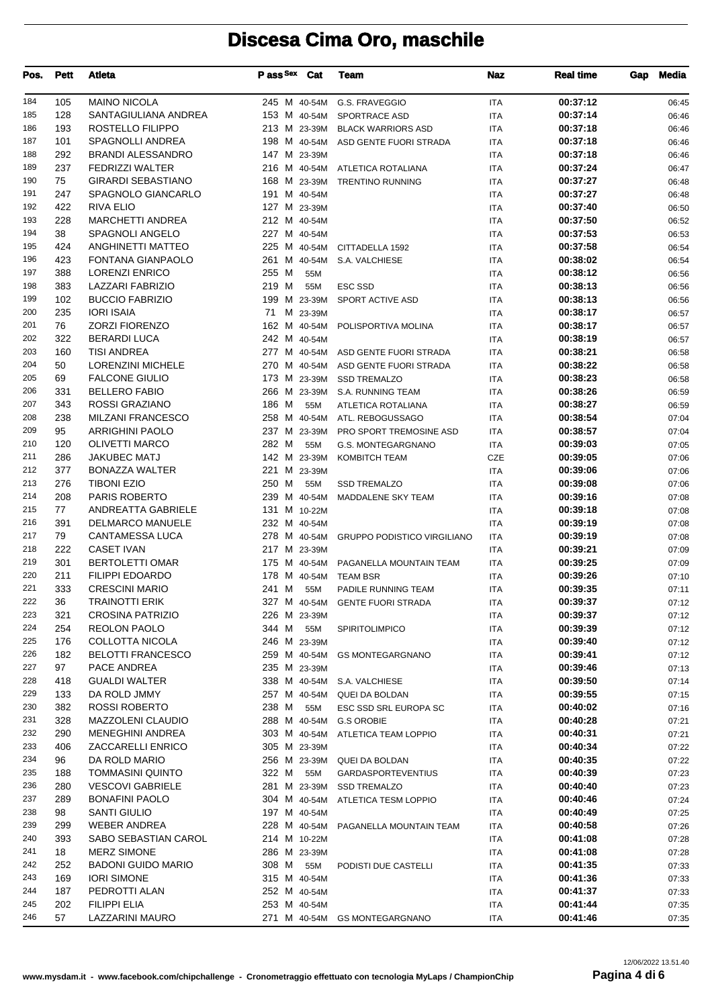| Pos. | <b>Pett</b> | <b>Atleta</b>             | P ass Sex    | Cat      | <b>Team</b>                          | Naz        | <b>Real time</b> | Gap | <b>Media</b> |
|------|-------------|---------------------------|--------------|----------|--------------------------------------|------------|------------------|-----|--------------|
| 184  | 105         | <b>MAINO NICOLA</b>       |              |          | 245 M 40-54M G.S. FRAVEGGIO          | <b>ITA</b> | 00:37:12         |     | 06:45        |
| 185  | 128         | SANTAGIULIANA ANDREA      | 153 M 40-54M |          | SPORTRACE ASD                        | <b>ITA</b> | 00:37:14         |     | 06:46        |
| 186  | 193         | ROSTELLO FILIPPO          | 213 M 23-39M |          | <b>BLACK WARRIORS ASD</b>            | <b>ITA</b> | 00:37:18         |     | 06:46        |
| 187  | 101         | SPAGNOLLI ANDREA          |              |          | 198 M 40-54M ASD GENTE FUORI STRADA  | <b>ITA</b> | 00:37:18         |     | 06:46        |
| 188  | 292         | <b>BRANDI ALESSANDRO</b>  | 147 M 23-39M |          |                                      | <b>ITA</b> | 00:37:18         |     | 06:46        |
| 189  | 237         | <b>FEDRIZZI WALTER</b>    |              |          | 216 M 40-54M ATLETICA ROTALIANA      | <b>ITA</b> | 00:37:24         |     | 06:47        |
| 190  | 75          | <b>GIRARDI SEBASTIANO</b> | 168 M 23-39M |          | <b>TRENTINO RUNNING</b>              | <b>ITA</b> | 00:37:27         |     | 06:48        |
| 191  | 247         | SPAGNOLO GIANCARLO        | 191 M 40-54M |          |                                      | <b>ITA</b> | 00:37:27         |     | 06:48        |
| 192  | 422         | <b>RIVA ELIO</b>          | 127 M 23-39M |          |                                      | <b>ITA</b> | 00:37:40         |     | 06:50        |
| 193  | 228         | <b>MARCHETTI ANDREA</b>   | 212 M 40-54M |          |                                      | <b>ITA</b> | 00:37:50         |     | 06:52        |
| 194  | 38          | SPAGNOLI ANGELO           | 227 M 40-54M |          |                                      | <b>ITA</b> | 00:37:53         |     | 06:53        |
| 195  | 424         | ANGHINETTI MATTEO         |              |          | 225 M 40-54M CITTADELLA 1592         | <b>ITA</b> | 00:37:58         |     | 06:54        |
| 196  | 423         | <b>FONTANA GIANPAOLO</b>  | 261 M 40-54M |          | S.A. VALCHIESE                       | <b>ITA</b> | 00:38:02         |     | 06:54        |
| 197  | 388         | <b>LORENZI ENRICO</b>     | 255 M        | 55M      |                                      | <b>ITA</b> | 00:38:12         |     | 06:56        |
| 198  | 383         | LAZZARI FABRIZIO          | 219 M        | 55M      | <b>ESC SSD</b>                       | <b>ITA</b> | 00:38:13         |     | 06:56        |
| 199  | 102         | <b>BUCCIO FABRIZIO</b>    |              |          | 199 M 23-39M SPORT ACTIVE ASD        | <b>ITA</b> | 00:38:13         |     | 06:56        |
| 200  | 235         | <b>IORI ISAIA</b>         | 71           | M 23-39M |                                      | <b>ITA</b> | 00:38:17         |     | 06:57        |
| 201  | 76          | <b>ZORZI FIORENZO</b>     | 162 M 40-54M |          | POLISPORTIVA MOLINA                  | <b>ITA</b> | 00:38:17         |     | 06:57        |
| 202  | 322         | <b>BERARDI LUCA</b>       | 242 M 40-54M |          |                                      | <b>ITA</b> | 00:38:19         |     | 06:57        |
| 203  | 160         | <b>TISI ANDREA</b>        |              |          | 277 M 40-54M ASD GENTE FUORI STRADA  | <b>ITA</b> | 00:38:21         |     | 06:58        |
| 204  | 50          | <b>LORENZINI MICHELE</b>  | 270 M 40-54M |          | ASD GENTE FUORI STRADA               | <b>ITA</b> | 00:38:22         |     | 06:58        |
| 205  | 69          | <b>FALCONE GIULIO</b>     | 173 M 23-39M |          | <b>SSD TREMALZO</b>                  | <b>ITA</b> | 00:38:23         |     | 06:58        |
| 206  | 331         | <b>BELLERO FABIO</b>      |              |          | 266 M 23-39M S.A. RUNNING TEAM       | <b>ITA</b> | 00:38:26         |     | 06:59        |
| 207  | 343         | <b>ROSSI GRAZIANO</b>     | 186 M        | 55M      | ATLETICA ROTALIANA                   | <b>ITA</b> | 00:38:27         |     | 06:59        |
| 208  | 238         | <b>MILZANI FRANCESCO</b>  |              |          | 258 M 40-54M ATL. REBOGUSSAGO        | <b>ITA</b> | 00:38:54         |     | 07:04        |
| 209  | 95          | <b>ARRIGHINI PAOLO</b>    | 237 M 23-39M |          | PRO SPORT TREMOSINE ASD              | <b>ITA</b> | 00:38:57         |     | 07:04        |
| 210  | 120         | <b>OLIVETTI MARCO</b>     | 282 M        | 55M      | G.S. MONTEGARGNANO                   | <b>ITA</b> | 00:39:03         |     | 07:05        |
| 211  | 286         | <b>JAKUBEC MATJ</b>       | 142 M 23-39M |          | <b>KOMBITCH TEAM</b>                 | CZE        | 00:39:05         |     | 07:06        |
| 212  | 377         | <b>BONAZZA WALTER</b>     | 221 M 23-39M |          |                                      | <b>ITA</b> | 00:39:06         |     | 07:06        |
| 213  | 276         | <b>TIBONI EZIO</b>        | 250 M        | 55M      | <b>SSD TREMALZO</b>                  | <b>ITA</b> | 00:39:08         |     | 07:06        |
| 214  | 208         | PARIS ROBERTO             | 239 M 40-54M |          | MADDALENE SKY TEAM                   | <b>ITA</b> | 00:39:16         |     | 07:08        |
| 215  | 77          | ANDREATTA GABRIELE        | 131 M 10-22M |          |                                      | <b>ITA</b> | 00:39:18         |     | 07:08        |
| 216  | 391         | <b>DELMARCO MANUELE</b>   | 232 M 40-54M |          |                                      | <b>ITA</b> | 00:39:19         |     | 07:08        |
| 217  | 79          | <b>CANTAMESSA LUCA</b>    | 278 M 40-54M |          | <b>GRUPPO PODISTICO VIRGILIANO</b>   | <b>ITA</b> | 00:39:19         |     | 07:08        |
| 218  | 222         | <b>CASET IVAN</b>         | 217 M 23-39M |          |                                      | <b>ITA</b> | 00:39:21         |     | 07:09        |
| 219  | 301         | <b>BERTOLETTI OMAR</b>    | 175 M 40-54M |          | PAGANELLA MOUNTAIN TEAM              | ITA        | 00:39:25         |     | 07:09        |
| 220  | 211         | <b>FILIPPI EDOARDO</b>    | 178 M 40-54M |          | <b>TEAM BSR</b>                      | ITA        | 00:39:26         |     | 07:10        |
| 221  | 333         | <b>CRESCINI MARIO</b>     | 241 M        | 55M      | PADILE RUNNING TEAM                  | <b>ITA</b> | 00:39:35         |     | 07:11        |
| 222  | 36          | <b>TRAINOTTI ERIK</b>     |              |          | 327 M 40-54M GENTE FUORI STRADA      | ITA        | 00:39:37         |     | 07:12        |
| 223  | 321         | CROSINA PATRIZIO          | 226 M 23-39M |          |                                      | ITA        | 00:39:37         |     | 07:12        |
| 224  | 254         | REOLON PAOLO              | 344 M        | 55M      | SPIRITOLIMPICO                       | ITA        | 00:39:39         |     | 07:12        |
| 225  | 176         | COLLOTTA NICOLA           | 246 M 23-39M |          |                                      | ITA        | 00:39:40         |     | 07:12        |
| 226  | 182         | <b>BELOTTI FRANCESCO</b>  |              |          | 259 M 40-54M GS MONTEGARGNANO        | ITA        | 00:39:41         |     | 07:12        |
| 227  | 97          | PACE ANDREA               | 235 M 23-39M |          |                                      | ITA        | 00:39:46         |     | 07:13        |
| 228  | 418         | <b>GUALDI WALTER</b>      |              |          | 338 M 40-54M S.A. VALCHIESE          | ITA        | 00:39:50         |     | 07:14        |
| 229  | 133         | DA ROLD JMMY              |              |          | 257 M 40-54M QUEI DA BOLDAN          | ITA        | 00:39:55         |     | 07:15        |
| 230  | 382         | <b>ROSSI ROBERTO</b>      | 238 M        | 55M      | ESC SSD SRL EUROPA SC                | ITA        | 00:40:02         |     | 07:16        |
| 231  | 328         | <b>MAZZOLENI CLAUDIO</b>  |              |          | 288 M 40-54M G.S OROBIE              | ITA        | 00:40:28         |     | 07:21        |
| 232  | 290         | <b>MENEGHINI ANDREA</b>   |              |          | 303 M 40-54M ATLETICA TEAM LOPPIO    | ITA        | 00:40:31         |     | 07:21        |
| 233  | 406         | ZACCARELLI ENRICO         | 305 M 23-39M |          |                                      | ITA        | 00:40:34         |     | 07:22        |
| 234  | 96          | DA ROLD MARIO             |              |          | 256 M 23-39M QUEI DA BOLDAN          | ITA        | 00:40:35         |     | 07:22        |
| 235  | 188         | <b>TOMMASINI QUINTO</b>   | 322 M        | 55M      | <b>GARDASPORTEVENTIUS</b>            | ITA        | 00:40:39         |     | 07:23        |
| 236  | 280         | <b>VESCOVI GABRIELE</b>   |              |          | 281 M 23-39M SSD TREMALZO            | ITA        | 00:40:40         |     | 07:23        |
| 237  | 289         | <b>BONAFINI PAOLO</b>     |              |          | 304 M 40-54M ATLETICA TESM LOPPIO    | ITA        | 00:40:46         |     | 07:24        |
| 238  | 98          | <b>SANTI GIULIO</b>       | 197 M 40-54M |          |                                      | ITA        | 00:40:49         |     | 07:25        |
| 239  | 299         | <b>WEBER ANDREA</b>       |              |          | 228 M 40-54M PAGANELLA MOUNTAIN TEAM | ITA        | 00:40:58         |     | 07:26        |
| 240  | 393         | SABO SEBASTIAN CAROL      | 214 M 10-22M |          |                                      | ITA        | 00:41:08         |     | 07:28        |
| 241  | 18          | <b>MERZ SIMONE</b>        | 286 M 23-39M |          |                                      | ITA        | 00:41:08         |     | 07:28        |
| 242  | 252         | <b>BADONI GUIDO MARIO</b> | 308 M        | 55M      | PODISTI DUE CASTELLI                 | ITA        | 00:41:35         |     | 07:33        |
| 243  | 169         | <b>IORI SIMONE</b>        | 315 M 40-54M |          |                                      | ITA        | 00:41:36         |     | 07:33        |
| 244  | 187         | PEDROTTI ALAN             | 252 M 40-54M |          |                                      | ITA        | 00:41:37         |     | 07:33        |
| 245  | 202         | FILIPPI ELIA              | 253 M 40-54M |          |                                      | <b>ITA</b> | 00:41:44         |     | 07:35        |
| 246  | 57          | LAZZARINI MAURO           |              |          | 271 M 40-54M GS MONTEGARGNANO        | ITA        | 00:41:46         |     | 07:35        |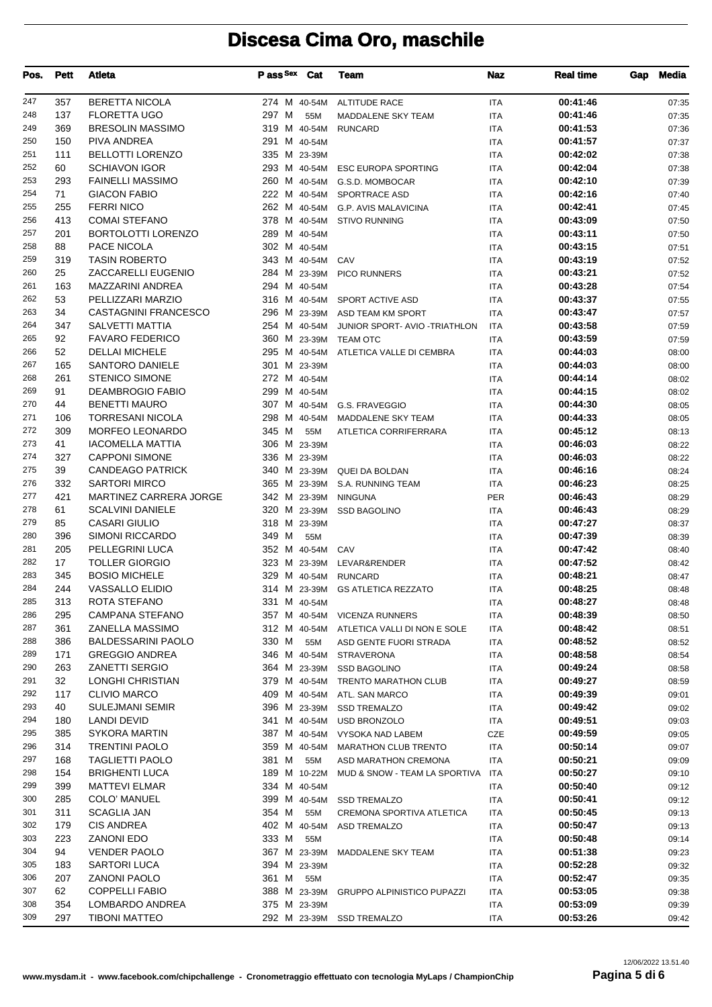| Pos.       | Pett      | <b>Atleta</b>                            | Pass Sex Cat                 |              | Team                                       | Naz                      | <b>Real time</b>     | Gap | <b>Media</b>   |
|------------|-----------|------------------------------------------|------------------------------|--------------|--------------------------------------------|--------------------------|----------------------|-----|----------------|
| 247        | 357       | <b>BERETTA NICOLA</b>                    | 274 M 40-54M                 |              | <b>ALTITUDE RACE</b>                       | ITA                      | 00:41:46             |     | 07:35          |
| 248        | 137       | <b>FLORETTA UGO</b>                      | 297 M                        | 55M          | MADDALENE SKY TEAM                         | <b>ITA</b>               | 00:41:46             |     | 07:35          |
| 249        | 369       | <b>BRESOLIN MASSIMO</b>                  | 319 M 40-54M                 |              | <b>RUNCARD</b>                             | <b>ITA</b>               | 00:41:53             |     | 07:36          |
| 250        | 150       | PIVA ANDREA                              | 291 M 40-54M                 |              |                                            | <b>ITA</b>               | 00:41:57             |     | 07:37          |
| 251        | 111       | <b>BELLOTTI LORENZO</b>                  | 335 M 23-39M                 |              |                                            | <b>ITA</b>               | 00:42:02             |     | 07:38          |
| 252        | 60        | <b>SCHIAVON IGOR</b>                     | 293 M 40-54M                 |              | <b>ESC EUROPA SPORTING</b>                 | <b>ITA</b>               | 00:42:04             |     | 07:38          |
| 253        | 293       | <b>FAINELLI MASSIMO</b>                  | 260 M 40-54M                 |              | G.S.D. MOMBOCAR                            | <b>ITA</b>               | 00:42:10             |     | 07:39          |
| 254        | 71        | <b>GIACON FABIO</b>                      | 222 M 40-54M                 |              | SPORTRACE ASD                              | <b>ITA</b>               | 00:42:16             |     | 07:40          |
| 255        | 255       | <b>FERRI NICO</b>                        | 262 M 40-54M                 |              | <b>G.P. AVIS MALAVICINA</b>                | <b>ITA</b>               | 00:42:41             |     | 07:45          |
| 256        | 413       | <b>COMAI STEFANO</b>                     | 378 M 40-54M                 |              | <b>STIVO RUNNING</b>                       | <b>ITA</b>               | 00:43:09             |     | 07:50          |
| 257<br>258 | 201<br>88 | <b>BORTOLOTTI LORENZO</b><br>PACE NICOLA | 289 M 40-54M<br>302 M 40-54M |              |                                            | <b>ITA</b>               | 00:43:11<br>00:43:15 |     | 07:50          |
| 259        | 319       | <b>TASIN ROBERTO</b>                     | 343 M 40-54M                 |              | CAV                                        | <b>ITA</b><br><b>ITA</b> | 00:43:19             |     | 07:51<br>07:52 |
| 260        | 25        | <b>ZACCARELLI EUGENIO</b>                | 284 M 23-39M                 |              | PICO RUNNERS                               | <b>ITA</b>               | 00:43:21             |     | 07:52          |
| 261        | 163       | MAZZARINI ANDREA                         | 294 M 40-54M                 |              |                                            | <b>ITA</b>               | 00:43:28             |     | 07:54          |
| 262        | 53        | PELLIZZARI MARZIO                        |                              |              | 316 M 40-54M SPORT ACTIVE ASD              | <b>ITA</b>               | 00:43:37             |     | 07:55          |
| 263        | 34        | <b>CASTAGNINI FRANCESCO</b>              |                              |              | 296 M 23-39M ASD TEAM KM SPORT             | <b>ITA</b>               | 00:43:47             |     | 07:57          |
| 264        | 347       | <b>SALVETTI MATTIA</b>                   |                              |              | 254 M 40-54M JUNIOR SPORT- AVIO -TRIATHLON | ITA                      | 00:43:58             |     | 07:59          |
| 265        | 92        | <b>FAVARO FEDERICO</b>                   |                              |              | 360 M 23-39M TEAM OTC                      | <b>ITA</b>               | 00:43:59             |     | 07:59          |
| 266        | 52        | <b>DELLAI MICHELE</b>                    |                              |              | 295 M 40-54M ATLETICA VALLE DI CEMBRA      | <b>ITA</b>               | 00:44:03             |     | 08:00          |
| 267        | 165       | SANTORO DANIELE                          | 301 M 23-39M                 |              |                                            | <b>ITA</b>               | 00:44:03             |     | 08:00          |
| 268        | 261       | <b>STENICO SIMONE</b>                    | 272 M 40-54M                 |              |                                            | <b>ITA</b>               | 00:44:14             |     | 08:02          |
| 269        | 91        | <b>DEAMBROGIO FABIO</b>                  | 299 M 40-54M                 |              |                                            | <b>ITA</b>               | 00:44:15             |     | 08:02          |
| 270        | 44        | <b>BENETTI MAURO</b>                     |                              |              | 307 M 40-54M G.S. FRAVEGGIO                | <b>ITA</b>               | 00:44:30             |     | 08:05          |
| 271        | 106       | <b>TORRESANI NICOLA</b>                  |                              |              | 298 M 40-54M MADDALENE SKY TEAM            | <b>ITA</b>               | 00:44:33             |     | 08:05          |
| 272        | 309       | <b>MORFEO LEONARDO</b>                   | 345 M                        | 55M          | ATLETICA CORRIFERRARA                      | <b>ITA</b>               | 00:45:12             |     | 08:13          |
| 273        | 41        | <b>IACOMELLA MATTIA</b>                  | 306 M 23-39M                 |              |                                            | <b>ITA</b>               | 00:46:03             |     | 08:22          |
| 274        | 327       | <b>CAPPONI SIMONE</b>                    | 336 M 23-39M                 |              |                                            | <b>ITA</b>               | 00:46:03             |     | 08:22          |
| 275        | 39        | <b>CANDEAGO PATRICK</b>                  |                              |              | 340 M 23-39M QUEI DA BOLDAN                | <b>ITA</b>               | 00:46:16             |     | 08:24          |
| 276        | 332       | <b>SARTORI MIRCO</b>                     | 365 M 23-39M                 |              | S.A. RUNNING TEAM                          | <b>ITA</b>               | 00:46:23             |     | 08:25          |
| 277        | 421       | <b>MARTINEZ CARRERA JORGE</b>            | 342 M 23-39M                 |              | <b>NINGUNA</b>                             | <b>PER</b>               | 00:46:43             |     | 08:29          |
| 278        | 61        | <b>SCALVINI DANIELE</b>                  | 320 M 23-39M                 |              | <b>SSD BAGOLINO</b>                        | ITA                      | 00:46:43             |     | 08:29          |
| 279        | 85        | <b>CASARI GIULIO</b>                     | 318 M 23-39M                 |              |                                            | <b>ITA</b>               | 00:47:27             |     | 08:37          |
| 280        | 396       | <b>SIMONI RICCARDO</b>                   | 349 M                        | 55M          |                                            | <b>ITA</b>               | 00:47:39             |     | 08:39          |
| 281        | 205       | PELLEGRINI LUCA                          | 352 M 40-54M                 |              | CAV                                        | <b>ITA</b>               | 00:47:42             |     | 08:40          |
| 282        | 17        | <b>TOLLER GIORGIO</b>                    |                              |              | 323 M 23-39M LEVAR&RENDER                  | <b>ITA</b>               | 00:47:52             |     | 08:42          |
| 283        | 345       | <b>BOSIO MICHELE</b>                     | 329 M 40-54M                 |              | <b>RUNCARD</b>                             | <b>ITA</b>               | 00:48:21             |     | 08:47          |
| 284        | 244       | <b>VASSALLO ELIDIO</b>                   |                              |              | 314 M 23-39M GS ATLETICA REZZATO           | <b>ITA</b>               | 00:48:25             |     | 08:48          |
| 285        | 313       | ROTA STEFANO                             | 331 M 40-54M                 |              |                                            | <b>ITA</b>               | 00:48:27             |     | 08:48          |
| 286        | 295       | CAMPANA STEFANO                          |                              |              | 357 M 40-54M VICENZA RUNNERS               | ITA                      | 00:48:39             |     | 08:50          |
| 287        | 361       | ZANELLA MASSIMO                          |                              |              | 312 M 40-54M ATLETICA VALLI DI NON E SOLE  | ITA                      | 00:48:42             |     | 08:51          |
| 288        | 386       | <b>BALDESSARINI PAOLO</b>                | 330 M                        | 55M          | ASD GENTE FUORI STRADA                     | ITA                      | 00:48:52             |     | 08:52          |
| 289        | 171       | <b>GREGGIO ANDREA</b>                    |                              | 346 M 40-54M | <b>STRAVERONA</b>                          | ITA                      | 00:48:58             |     | 08:54          |
| 290        | 263       | <b>ZANETTI SERGIO</b>                    |                              | 364 M 23-39M | <b>SSD BAGOLINO</b>                        | ITA                      | 00:49:24             |     | 08:58          |
| 291        | 32        | LONGHI CHRISTIAN                         | 379 M 40-54M                 |              | <b>TRENTO MARATHON CLUB</b>                | ITA                      | 00:49:27             |     | 08:59          |
| 292        | 117       | <b>CLIVIO MARCO</b>                      | 409 M 40-54M                 |              | ATL. SAN MARCO                             | ITA                      | 00:49:39             |     | 09:01          |
| 293        | 40        | SULEJMANI SEMIR                          | 396 M 23-39M                 |              | <b>SSD TREMALZO</b>                        | ITA                      | 00:49:42             |     | 09:02          |
| 294        | 180       | LANDI DEVID                              | 341 M 40-54M                 |              | USD BRONZOLO                               | ITA                      | 00:49:51             |     | 09:03          |
| 295        | 385       | SYKORA MARTIN                            | 387 M 40-54M                 |              | VYSOKA NAD LABEM                           | CZE                      | 00:49:59             |     | 09:05          |
| 296        | 314       | <b>TRENTINI PAOLO</b>                    | 359 M 40-54M                 |              | <b>MARATHON CLUB TRENTO</b>                | ITA                      | 00:50:14             |     | 09:07          |
| 297        | 168       | <b>TAGLIETTI PAOLO</b>                   | 381 M                        | 55M          | ASD MARATHON CREMONA                       | ITA                      | 00:50:21             |     | 09:09          |
| 298        | 154       | <b>BRIGHENTI LUCA</b>                    | 189 M 10-22M                 |              | MUD & SNOW - TEAM LA SPORTIVA              | ITA                      | 00:50:27             |     | 09:10          |
| 299        | 399       | MATTEVI ELMAR                            | 334 M 40-54M                 |              |                                            | ITA                      | 00:50:40             |     | 09:12          |
| 300        | 285       | COLO' MANUEL                             | 399 M 40-54M                 |              | <b>SSD TREMALZO</b>                        | ITA                      | 00:50:41             |     | 09:12          |
| 301        | 311       | SCAGLIA JAN                              | 354 M                        | 55M          | CREMONA SPORTIVA ATLETICA                  | ITA                      | 00:50:45             |     | 09:13          |
| 302        | 179       | <b>CIS ANDREA</b>                        | 402 M 40-54M                 |              | <b>ASD TREMALZO</b>                        | ITA                      | 00:50:47             |     | 09:13          |
| 303        | 223       | <b>ZANONI EDO</b>                        | 333 M                        | 55M          |                                            | ITA                      | 00:50:48             |     | 09:14          |
| 304        | 94        | <b>VENDER PAOLO</b>                      | 367 M 23-39M                 |              | MADDALENE SKY TEAM                         | ITA                      | 00:51:38             |     | 09:23          |
| 305        | 183       | SARTORI LUCA                             | 394 M 23-39M                 |              |                                            | ITA                      | 00:52:28             |     | 09:32          |
| 306        | 207       | <b>ZANONI PAOLO</b>                      | 361 M                        | 55M          |                                            | ITA                      | 00:52:47             |     | 09:35          |
| 307        | 62        | <b>COPPELLI FABIO</b>                    |                              | 388 M 23-39M | <b>GRUPPO ALPINISTICO PUPAZZI</b>          | ITA                      | 00:53:05             |     | 09:38          |
| 308        | 354       | LOMBARDO ANDREA                          | 375 M 23-39M                 |              |                                            | <b>ITA</b>               | 00:53:09             |     | 09:39          |
| 309        | 297       | <b>TIBONI MATTEO</b>                     | 292 M 23-39M                 |              | <b>SSD TREMALZO</b>                        | ITA                      | 00:53:26             |     | 09:42          |